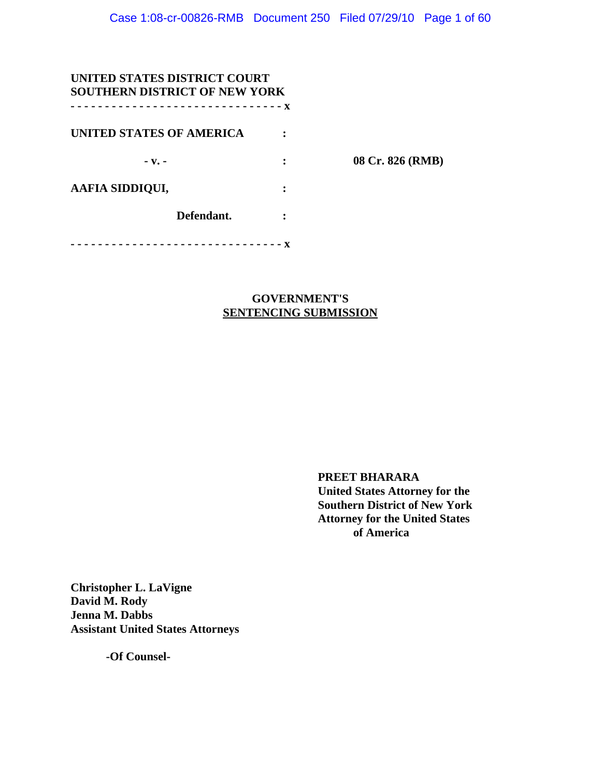| UNITED STATES DISTRICT COURT<br><b>SOUTHERN DISTRICT OF NEW YORK</b> |           |                  |
|----------------------------------------------------------------------|-----------|------------------|
| -------------------------- <b>X</b>                                  |           |                  |
| UNITED STATES OF AMERICA                                             |           |                  |
| $-Vz$ –                                                              | ፡         | 08 Cr. 826 (RMB) |
| AAFIA SIDDIQUI,                                                      | $\bullet$ |                  |
| Defendant.                                                           |           |                  |
|                                                                      |           |                  |

# **GOVERNMENT'S SENTENCING SUBMISSION**

**PREET BHARARA United States Attorney for the Southern District of New York Attorney for the United States of America**

**Christopher L. LaVigne David M. Rody Jenna M. Dabbs Assistant United States Attorneys**

**-Of Counsel-**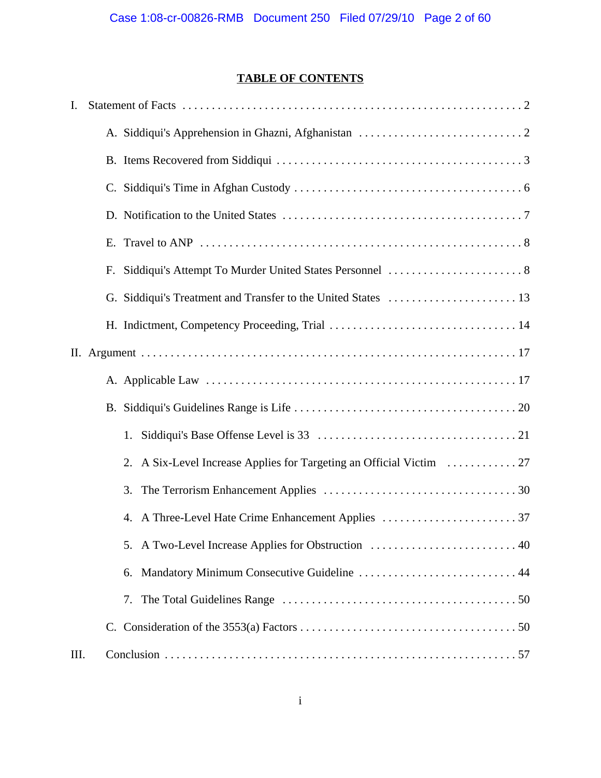# **TABLE OF CONTENTS**

| I.   |                                                                      |
|------|----------------------------------------------------------------------|
|      |                                                                      |
|      |                                                                      |
|      |                                                                      |
|      |                                                                      |
|      |                                                                      |
|      |                                                                      |
|      |                                                                      |
|      |                                                                      |
|      |                                                                      |
|      |                                                                      |
|      |                                                                      |
|      |                                                                      |
|      | 2. A Six-Level Increase Applies for Targeting an Official Victim  27 |
|      | 3.                                                                   |
|      | 4. A Three-Level Hate Crime Enhancement Applies 37                   |
|      |                                                                      |
|      | Mandatory Minimum Consecutive Guideline  44<br>6.                    |
|      |                                                                      |
|      |                                                                      |
| III. |                                                                      |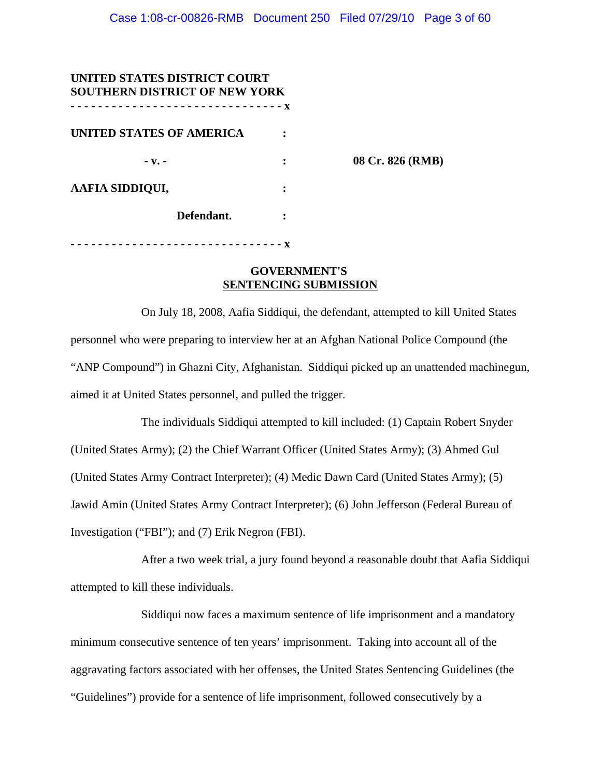| UNITED STATES DISTRICT COURT<br><b>SOUTHERN DISTRICT OF NEW YORK</b> |   |                  |
|----------------------------------------------------------------------|---|------------------|
| UNITED STATES OF AMERICA                                             |   |                  |
| $-Vz$ –                                                              |   | 08 Cr. 826 (RMB) |
| AAFIA SIDDIQUI,                                                      | ٠ |                  |
| Defendant.                                                           |   |                  |
|                                                                      |   |                  |

# **GOVERNMENT'S SENTENCING SUBMISSION**

On July 18, 2008, Aafia Siddiqui, the defendant, attempted to kill United States personnel who were preparing to interview her at an Afghan National Police Compound (the "ANP Compound") in Ghazni City, Afghanistan. Siddiqui picked up an unattended machinegun, aimed it at United States personnel, and pulled the trigger.

The individuals Siddiqui attempted to kill included: (1) Captain Robert Snyder (United States Army); (2) the Chief Warrant Officer (United States Army); (3) Ahmed Gul (United States Army Contract Interpreter); (4) Medic Dawn Card (United States Army); (5) Jawid Amin (United States Army Contract Interpreter); (6) John Jefferson (Federal Bureau of Investigation ("FBI"); and (7) Erik Negron (FBI).

After a two week trial, a jury found beyond a reasonable doubt that Aafia Siddiqui attempted to kill these individuals.

Siddiqui now faces a maximum sentence of life imprisonment and a mandatory minimum consecutive sentence of ten years' imprisonment. Taking into account all of the aggravating factors associated with her offenses, the United States Sentencing Guidelines (the "Guidelines") provide for a sentence of life imprisonment, followed consecutively by a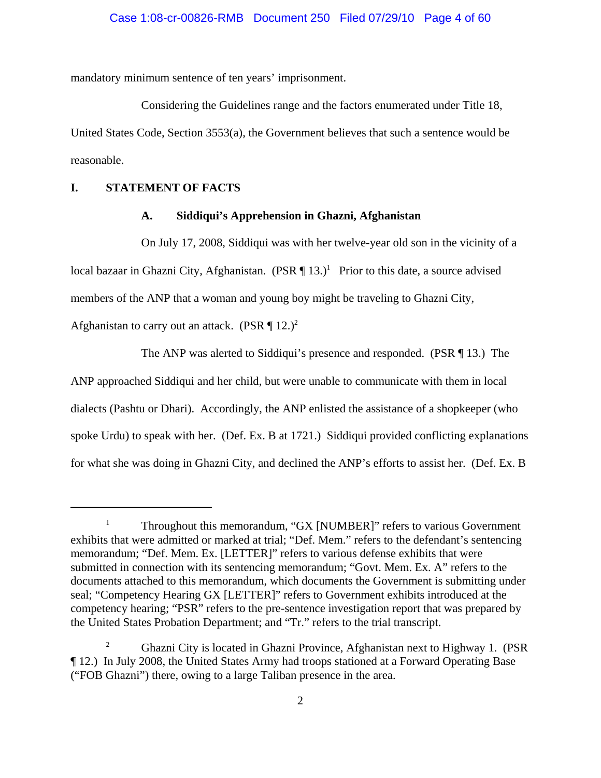mandatory minimum sentence of ten years' imprisonment.

Considering the Guidelines range and the factors enumerated under Title 18, United States Code, Section 3553(a), the Government believes that such a sentence would be reasonable.

# **I. STATEMENT OF FACTS**

#### **A. Siddiqui's Apprehension in Ghazni, Afghanistan**

On July 17, 2008, Siddiqui was with her twelve-year old son in the vicinity of a local bazaar in Ghazni City, Afghanistan. (PSR ¶ 13.)<sup>1</sup> Prior to this date, a source advised members of the ANP that a woman and young boy might be traveling to Ghazni City, Afghanistan to carry out an attack. (PSR  $\P$  12.)<sup>2</sup>

The ANP was alerted to Siddiqui's presence and responded. (PSR ¶ 13.) The ANP approached Siddiqui and her child, but were unable to communicate with them in local dialects (Pashtu or Dhari). Accordingly, the ANP enlisted the assistance of a shopkeeper (who spoke Urdu) to speak with her. (Def. Ex. B at 1721.) Siddiqui provided conflicting explanations for what she was doing in Ghazni City, and declined the ANP's efforts to assist her. (Def. Ex. B

<sup>&</sup>lt;sup>1</sup> Throughout this memorandum, "GX [NUMBER]" refers to various Government exhibits that were admitted or marked at trial; "Def. Mem." refers to the defendant's sentencing memorandum; "Def. Mem. Ex. [LETTER]" refers to various defense exhibits that were submitted in connection with its sentencing memorandum; "Govt. Mem. Ex. A" refers to the documents attached to this memorandum, which documents the Government is submitting under seal; "Competency Hearing GX [LETTER]" refers to Government exhibits introduced at the competency hearing; "PSR" refers to the pre-sentence investigation report that was prepared by the United States Probation Department; and "Tr." refers to the trial transcript.

<sup>&</sup>lt;sup>2</sup> Ghazni City is located in Ghazni Province, Afghanistan next to Highway 1. (PSR ¶ 12.) In July 2008, the United States Army had troops stationed at a Forward Operating Base ("FOB Ghazni") there, owing to a large Taliban presence in the area.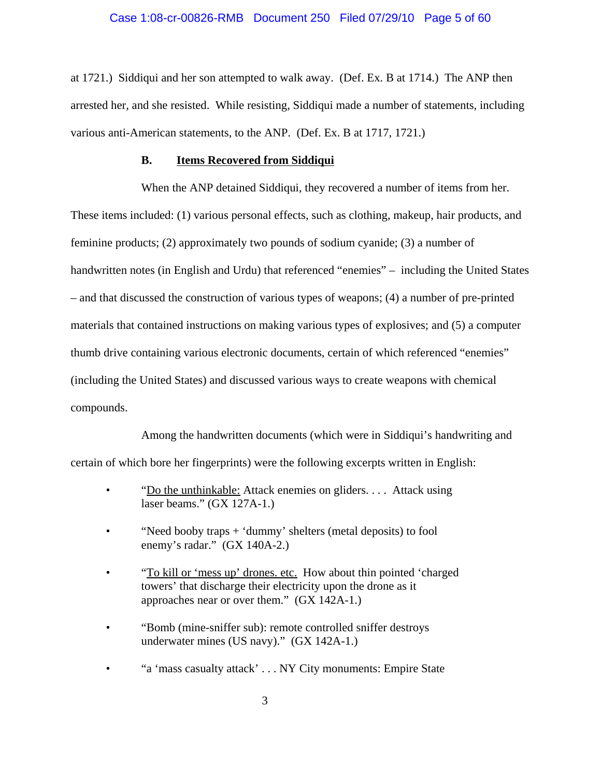### Case 1:08-cr-00826-RMB Document 250 Filed 07/29/10 Page 5 of 60

at 1721.) Siddiqui and her son attempted to walk away. (Def. Ex. B at 1714.) The ANP then arrested her, and she resisted. While resisting, Siddiqui made a number of statements, including various anti-American statements, to the ANP. (Def. Ex. B at 1717, 1721.)

#### **B. Items Recovered from Siddiqui**

When the ANP detained Siddiqui, they recovered a number of items from her. These items included: (1) various personal effects, such as clothing, makeup, hair products, and feminine products; (2) approximately two pounds of sodium cyanide; (3) a number of handwritten notes (in English and Urdu) that referenced "enemies" – including the United States – and that discussed the construction of various types of weapons; (4) a number of pre-printed materials that contained instructions on making various types of explosives; and (5) a computer thumb drive containing various electronic documents, certain of which referenced "enemies" (including the United States) and discussed various ways to create weapons with chemical compounds.

Among the handwritten documents (which were in Siddiqui's handwriting and certain of which bore her fingerprints) were the following excerpts written in English:

- "Do the unthinkable: Attack enemies on gliders.... Attack using laser beams." (GX 127A-1.)
- "Need booby traps + 'dummy' shelters (metal deposits) to fool enemy's radar." (GX 140A-2.)
- "To kill or 'mess up' drones. etc. How about thin pointed 'charged towers' that discharge their electricity upon the drone as it approaches near or over them." (GX 142A-1.)
- "Bomb (mine-sniffer sub): remote controlled sniffer destroys underwater mines (US navy)." (GX 142A-1.)
- "a 'mass casualty attack' . . . NY City monuments: Empire State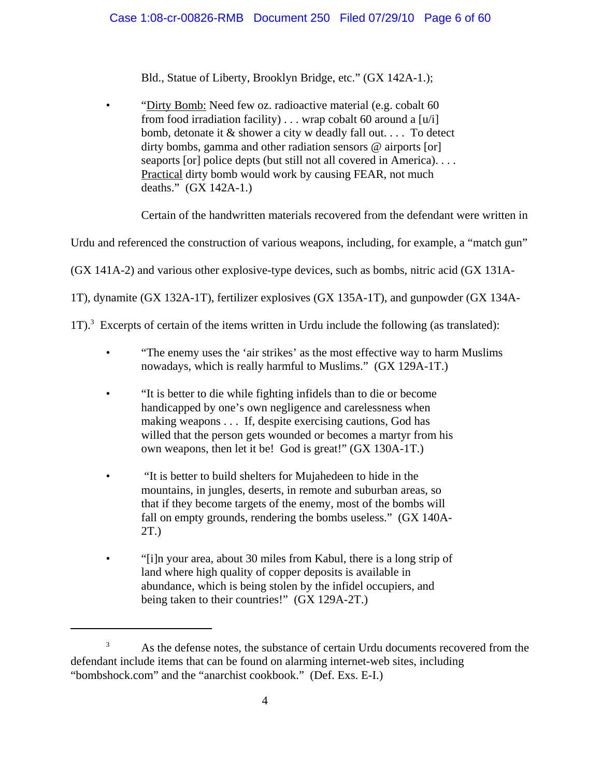Bld., Statue of Liberty, Brooklyn Bridge, etc." (GX 142A-1.);

• "Dirty Bomb: Need few oz. radioactive material (e.g. cobalt 60 from food irradiation facility) . . . wrap cobalt 60 around a  $[u/i]$ bomb, detonate it & shower a city w deadly fall out. . . . To detect dirty bombs, gamma and other radiation sensors @ airports [or] seaports [or] police depts (but still not all covered in America). . . . Practical dirty bomb would work by causing FEAR, not much deaths." (GX 142A-1.)

Certain of the handwritten materials recovered from the defendant were written in

Urdu and referenced the construction of various weapons, including, for example, a "match gun"

(GX 141A-2) and various other explosive-type devices, such as bombs, nitric acid (GX 131A-

1T), dynamite (GX 132A-1T), fertilizer explosives (GX 135A-1T), and gunpowder (GX 134A-

1T).<sup>3</sup> Excerpts of certain of the items written in Urdu include the following (as translated):

- "The enemy uses the 'air strikes' as the most effective way to harm Muslims nowadays, which is really harmful to Muslims." (GX 129A-1T.)
- "It is better to die while fighting infidels than to die or become handicapped by one's own negligence and carelessness when making weapons . . . If, despite exercising cautions, God has willed that the person gets wounded or becomes a martyr from his own weapons, then let it be! God is great!" (GX 130A-1T.)
- "It is better to build shelters for Mujahedeen to hide in the mountains, in jungles, deserts, in remote and suburban areas, so that if they become targets of the enemy, most of the bombs will fall on empty grounds, rendering the bombs useless." (GX 140A-2T.)
- "[i]n your area, about 30 miles from Kabul, there is a long strip of land where high quality of copper deposits is available in abundance, which is being stolen by the infidel occupiers, and being taken to their countries!" (GX 129A-2T.)

<sup>&</sup>lt;sup>3</sup> As the defense notes, the substance of certain Urdu documents recovered from the defendant include items that can be found on alarming internet-web sites, including "bombshock.com" and the "anarchist cookbook." (Def. Exs. E-I.)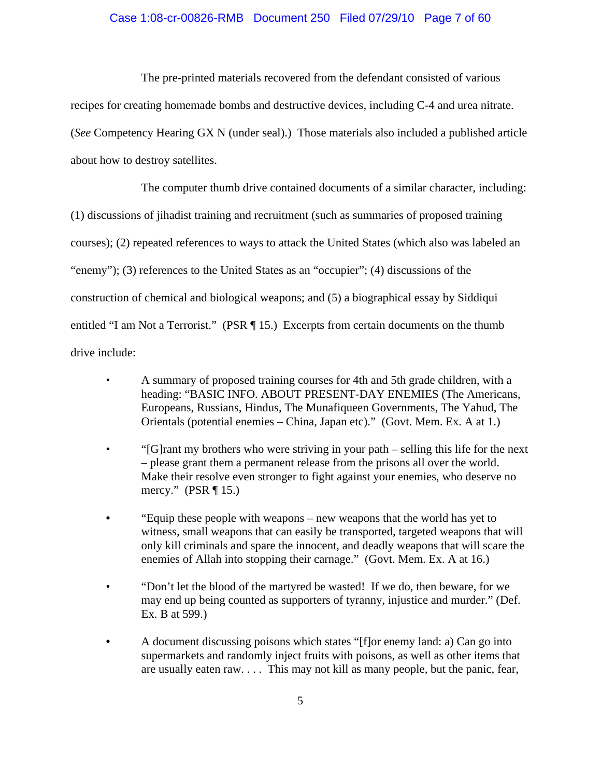# Case 1:08-cr-00826-RMB Document 250 Filed 07/29/10 Page 7 of 60

The pre-printed materials recovered from the defendant consisted of various

recipes for creating homemade bombs and destructive devices, including C-4 and urea nitrate.

(*See* Competency Hearing GX N (under seal).) Those materials also included a published article

about how to destroy satellites.

The computer thumb drive contained documents of a similar character, including:

(1) discussions of jihadist training and recruitment (such as summaries of proposed training courses); (2) repeated references to ways to attack the United States (which also was labeled an "enemy"); (3) references to the United States as an "occupier"; (4) discussions of the construction of chemical and biological weapons; and (5) a biographical essay by Siddiqui entitled "I am Not a Terrorist." (PSR ¶ 15.)Excerpts from certain documents on the thumb drive include:

- A summary of proposed training courses for 4th and 5th grade children, with a heading: "BASIC INFO. ABOUT PRESENT-DAY ENEMIES (The Americans, Europeans, Russians, Hindus, The Munafiqueen Governments, The Yahud, The Orientals (potential enemies – China, Japan etc)." (Govt. Mem. Ex. A at 1.)
- "[G]rant my brothers who were striving in your path selling this life for the next – please grant them a permanent release from the prisons all over the world. Make their resolve even stronger to fight against your enemies, who deserve no mercy." (PSR  $\P$  15.)
- **•** "Equip these people with weapons new weapons that the world has yet to witness, small weapons that can easily be transported, targeted weapons that will only kill criminals and spare the innocent, and deadly weapons that will scare the enemies of Allah into stopping their carnage." (Govt. Mem. Ex. A at 16.)
- "Don't let the blood of the martyred be wasted! If we do, then beware, for we may end up being counted as supporters of tyranny, injustice and murder." (Def. Ex. B at 599.)
- **•** A document discussing poisons which states "[f]or enemy land: a) Can go into supermarkets and randomly inject fruits with poisons, as well as other items that are usually eaten raw. . . . This may not kill as many people, but the panic, fear,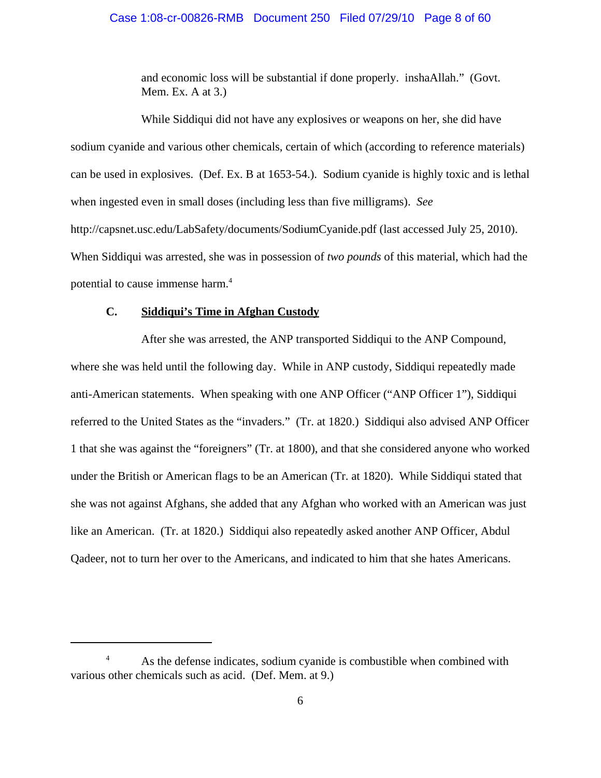### Case 1:08-cr-00826-RMB Document 250 Filed 07/29/10 Page 8 of 60

and economic loss will be substantial if done properly. inshaAllah." (Govt. Mem. Ex. A at 3.)

While Siddiqui did not have any explosives or weapons on her, she did have sodium cyanide and various other chemicals, certain of which (according to reference materials) can be used in explosives. (Def. Ex. B at 1653-54.). Sodium cyanide is highly toxic and is lethal when ingested even in small doses (including less than five milligrams). *See* http://capsnet.usc.edu/LabSafety/documents/SodiumCyanide.pdf (last accessed July 25, 2010). When Siddiqui was arrested, she was in possession of *two pounds* of this material, which had the potential to cause immense harm.4

# **C. Siddiqui's Time in Afghan Custody**

After she was arrested, the ANP transported Siddiqui to the ANP Compound, where she was held until the following day. While in ANP custody, Siddiqui repeatedly made anti-American statements. When speaking with one ANP Officer ("ANP Officer 1"), Siddiqui referred to the United States as the "invaders." (Tr. at 1820.) Siddiqui also advised ANP Officer 1 that she was against the "foreigners" (Tr. at 1800), and that she considered anyone who worked under the British or American flags to be an American (Tr. at 1820). While Siddiqui stated that she was not against Afghans, she added that any Afghan who worked with an American was just like an American. (Tr. at 1820.) Siddiqui also repeatedly asked another ANP Officer, Abdul Qadeer, not to turn her over to the Americans, and indicated to him that she hates Americans.

<sup>&</sup>lt;sup>4</sup> As the defense indicates, sodium cyanide is combustible when combined with various other chemicals such as acid. (Def. Mem. at 9.)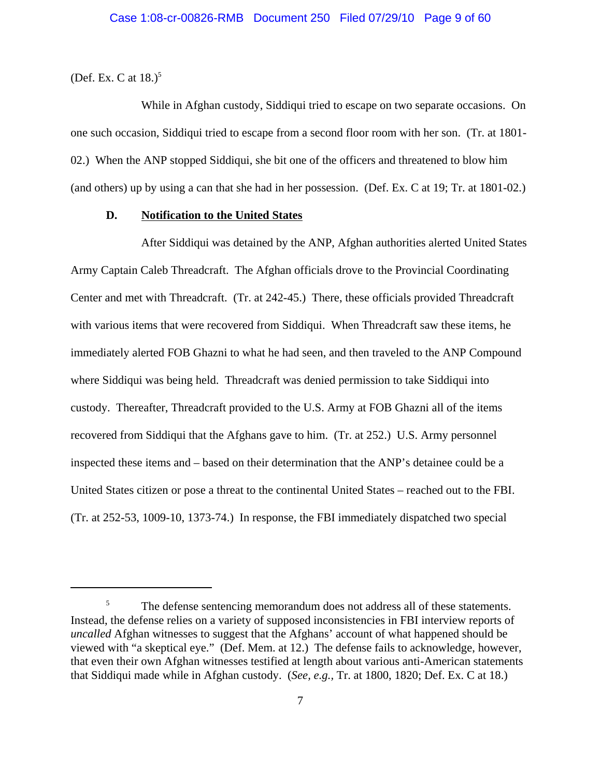(Def. Ex. C at  $18.$ )<sup>5</sup>

While in Afghan custody, Siddiqui tried to escape on two separate occasions. On one such occasion, Siddiqui tried to escape from a second floor room with her son. (Tr. at 1801- 02.) When the ANP stopped Siddiqui, she bit one of the officers and threatened to blow him (and others) up by using a can that she had in her possession. (Def. Ex. C at 19; Tr. at 1801-02.)

## **D. Notification to the United States**

After Siddiqui was detained by the ANP, Afghan authorities alerted United States Army Captain Caleb Threadcraft. The Afghan officials drove to the Provincial Coordinating Center and met with Threadcraft. (Tr. at 242-45.) There, these officials provided Threadcraft with various items that were recovered from Siddiqui. When Threadcraft saw these items, he immediately alerted FOB Ghazni to what he had seen, and then traveled to the ANP Compound where Siddiqui was being held. Threadcraft was denied permission to take Siddiqui into custody. Thereafter, Threadcraft provided to the U.S. Army at FOB Ghazni all of the items recovered from Siddiqui that the Afghans gave to him. (Tr. at 252.) U.S. Army personnel inspected these items and – based on their determination that the ANP's detainee could be a United States citizen or pose a threat to the continental United States – reached out to the FBI. (Tr. at 252-53, 1009-10, 1373-74.) In response, the FBI immediately dispatched two special

<sup>&</sup>lt;sup>5</sup> The defense sentencing memorandum does not address all of these statements. Instead, the defense relies on a variety of supposed inconsistencies in FBI interview reports of *uncalled* Afghan witnesses to suggest that the Afghans' account of what happened should be viewed with "a skeptical eye." (Def. Mem. at 12.) The defense fails to acknowledge, however, that even their own Afghan witnesses testified at length about various anti-American statements that Siddiqui made while in Afghan custody. (*See, e.g.,* Tr. at 1800, 1820; Def. Ex. C at 18.)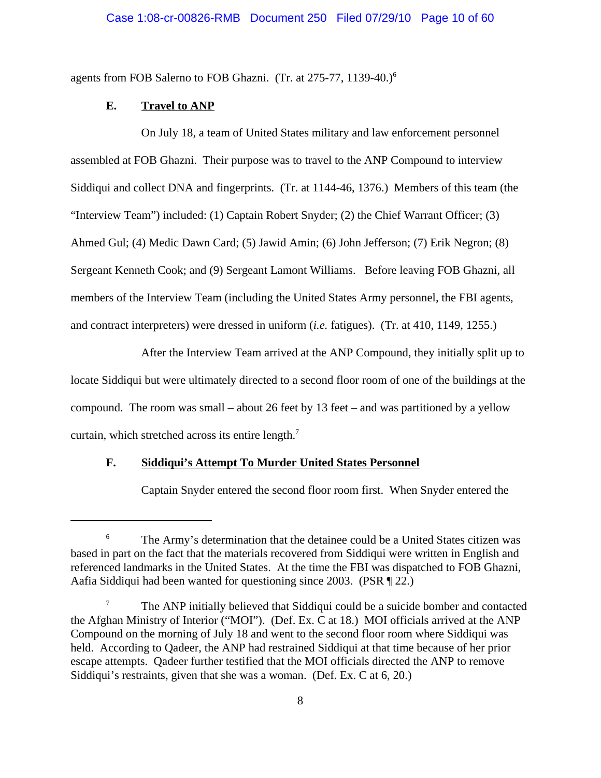agents from FOB Salerno to FOB Ghazni. (Tr. at 275-77, 1139-40.)6

### **E. Travel to ANP**

On July 18, a team of United States military and law enforcement personnel assembled at FOB Ghazni. Their purpose was to travel to the ANP Compound to interview Siddiqui and collect DNA and fingerprints. (Tr. at 1144-46, 1376.) Members of this team (the "Interview Team") included: (1) Captain Robert Snyder; (2) the Chief Warrant Officer; (3) Ahmed Gul; (4) Medic Dawn Card; (5) Jawid Amin; (6) John Jefferson; (7) Erik Negron; (8) Sergeant Kenneth Cook; and (9) Sergeant Lamont Williams. Before leaving FOB Ghazni, all members of the Interview Team (including the United States Army personnel, the FBI agents, and contract interpreters) were dressed in uniform (*i.e.* fatigues). (Tr. at 410, 1149, 1255.)

After the Interview Team arrived at the ANP Compound, they initially split up to locate Siddiqui but were ultimately directed to a second floor room of one of the buildings at the compound. The room was small – about 26 feet by 13 feet – and was partitioned by a yellow curtain, which stretched across its entire length. $<sup>7</sup>$ </sup>

# **F. Siddiqui's Attempt To Murder United States Personnel**

Captain Snyder entered the second floor room first. When Snyder entered the

<sup>&</sup>lt;sup>6</sup> The Army's determination that the detainee could be a United States citizen was based in part on the fact that the materials recovered from Siddiqui were written in English and referenced landmarks in the United States. At the time the FBI was dispatched to FOB Ghazni, Aafia Siddiqui had been wanted for questioning since 2003. (PSR ¶ 22.)

<sup>&</sup>lt;sup>7</sup> The ANP initially believed that Siddiqui could be a suicide bomber and contacted the Afghan Ministry of Interior ("MOI"). (Def. Ex. C at 18.) MOI officials arrived at the ANP Compound on the morning of July 18 and went to the second floor room where Siddiqui was held. According to Qadeer, the ANP had restrained Siddiqui at that time because of her prior escape attempts. Qadeer further testified that the MOI officials directed the ANP to remove Siddiqui's restraints, given that she was a woman. (Def. Ex. C at 6, 20.)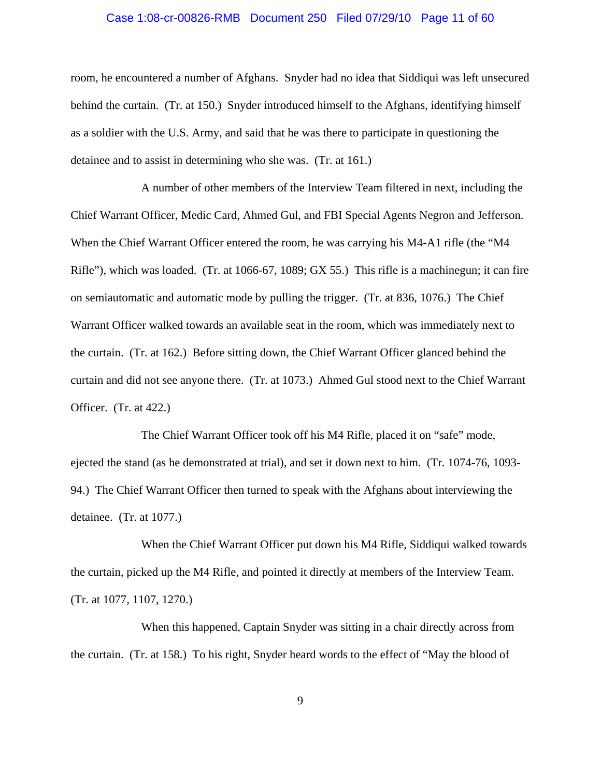### Case 1:08-cr-00826-RMB Document 250 Filed 07/29/10 Page 11 of 60

room, he encountered a number of Afghans. Snyder had no idea that Siddiqui was left unsecured behind the curtain. (Tr. at 150.) Snyder introduced himself to the Afghans, identifying himself as a soldier with the U.S. Army, and said that he was there to participate in questioning the detainee and to assist in determining who she was. (Tr. at 161.)

A number of other members of the Interview Team filtered in next, including the Chief Warrant Officer, Medic Card, Ahmed Gul, and FBI Special Agents Negron and Jefferson. When the Chief Warrant Officer entered the room, he was carrying his M4-A1 rifle (the "M4 Rifle"), which was loaded. (Tr. at 1066-67, 1089; GX 55.) This rifle is a machinegun; it can fire on semiautomatic and automatic mode by pulling the trigger. (Tr. at 836, 1076.) The Chief Warrant Officer walked towards an available seat in the room, which was immediately next to the curtain. (Tr. at 162.) Before sitting down, the Chief Warrant Officer glanced behind the curtain and did not see anyone there. (Tr. at 1073.) Ahmed Gul stood next to the Chief Warrant Officer. (Tr. at 422.)

The Chief Warrant Officer took off his M4 Rifle, placed it on "safe" mode, ejected the stand (as he demonstrated at trial), and set it down next to him. (Tr. 1074-76, 1093- 94.) The Chief Warrant Officer then turned to speak with the Afghans about interviewing the detainee. (Tr. at 1077.)

When the Chief Warrant Officer put down his M4 Rifle, Siddiqui walked towards the curtain, picked up the M4 Rifle, and pointed it directly at members of the Interview Team. (Tr. at 1077, 1107, 1270.)

When this happened, Captain Snyder was sitting in a chair directly across from the curtain. (Tr. at 158.) To his right, Snyder heard words to the effect of "May the blood of

9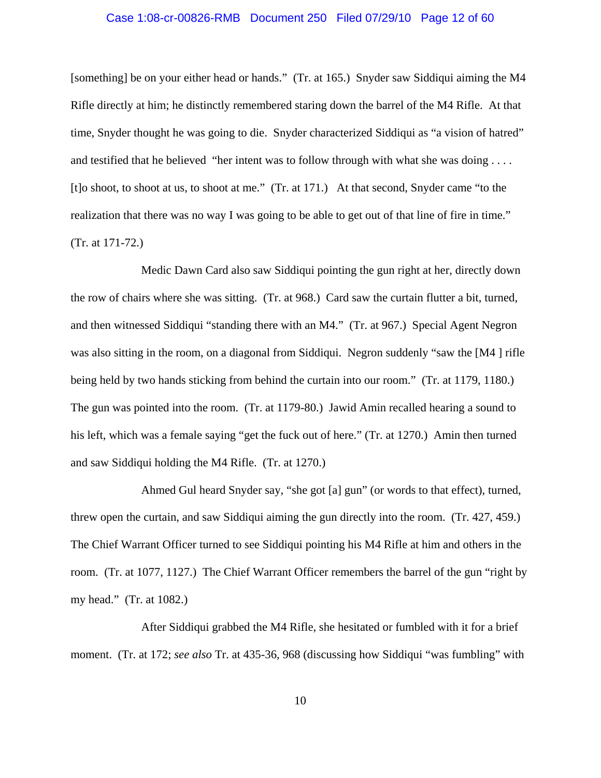### Case 1:08-cr-00826-RMB Document 250 Filed 07/29/10 Page 12 of 60

[something] be on your either head or hands." (Tr. at 165.) Snyder saw Siddiqui aiming the M4 Rifle directly at him; he distinctly remembered staring down the barrel of the M4 Rifle. At that time, Snyder thought he was going to die. Snyder characterized Siddiqui as "a vision of hatred" and testified that he believed "her intent was to follow through with what she was doing .... [t]o shoot, to shoot at us, to shoot at me." (Tr. at 171.) At that second, Snyder came "to the realization that there was no way I was going to be able to get out of that line of fire in time." (Tr. at 171-72.)

Medic Dawn Card also saw Siddiqui pointing the gun right at her, directly down the row of chairs where she was sitting. (Tr. at 968.) Card saw the curtain flutter a bit, turned, and then witnessed Siddiqui "standing there with an M4." (Tr. at 967.) Special Agent Negron was also sitting in the room, on a diagonal from Siddiqui. Negron suddenly "saw the [M4] rifle being held by two hands sticking from behind the curtain into our room." (Tr. at 1179, 1180.) The gun was pointed into the room. (Tr. at 1179-80.) Jawid Amin recalled hearing a sound to his left, which was a female saying "get the fuck out of here." (Tr. at 1270.) Amin then turned and saw Siddiqui holding the M4 Rifle. (Tr. at 1270.)

Ahmed Gul heard Snyder say, "she got [a] gun" (or words to that effect), turned, threw open the curtain, and saw Siddiqui aiming the gun directly into the room. (Tr. 427, 459.) The Chief Warrant Officer turned to see Siddiqui pointing his M4 Rifle at him and others in the room. (Tr. at 1077, 1127.) The Chief Warrant Officer remembers the barrel of the gun "right by my head." (Tr. at 1082.)

After Siddiqui grabbed the M4 Rifle, she hesitated or fumbled with it for a brief moment. (Tr. at 172; *see also* Tr. at 435-36, 968 (discussing how Siddiqui "was fumbling" with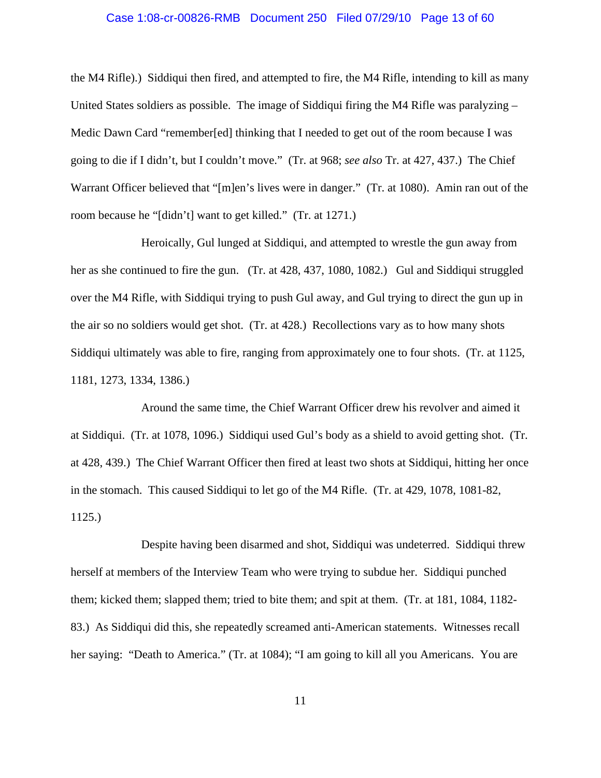## Case 1:08-cr-00826-RMB Document 250 Filed 07/29/10 Page 13 of 60

the M4 Rifle).) Siddiqui then fired, and attempted to fire, the M4 Rifle, intending to kill as many United States soldiers as possible. The image of Siddiqui firing the M4 Rifle was paralyzing – Medic Dawn Card "remember[ed] thinking that I needed to get out of the room because I was going to die if I didn't, but I couldn't move." (Tr. at 968; *see also* Tr. at 427, 437.) The Chief Warrant Officer believed that "[m]en's lives were in danger." (Tr. at 1080). Amin ran out of the room because he "[didn't] want to get killed." (Tr. at 1271.)

Heroically, Gul lunged at Siddiqui, and attempted to wrestle the gun away from her as she continued to fire the gun. (Tr. at 428, 437, 1080, 1082.) Gul and Siddiqui struggled over the M4 Rifle, with Siddiqui trying to push Gul away, and Gul trying to direct the gun up in the air so no soldiers would get shot. (Tr. at 428.) Recollections vary as to how many shots Siddiqui ultimately was able to fire, ranging from approximately one to four shots. (Tr. at 1125, 1181, 1273, 1334, 1386.)

Around the same time, the Chief Warrant Officer drew his revolver and aimed it at Siddiqui. (Tr. at 1078, 1096.) Siddiqui used Gul's body as a shield to avoid getting shot. (Tr. at 428, 439.) The Chief Warrant Officer then fired at least two shots at Siddiqui, hitting her once in the stomach. This caused Siddiqui to let go of the M4 Rifle. (Tr. at 429, 1078, 1081-82, 1125.)

Despite having been disarmed and shot, Siddiqui was undeterred. Siddiqui threw herself at members of the Interview Team who were trying to subdue her. Siddiqui punched them; kicked them; slapped them; tried to bite them; and spit at them. (Tr. at 181, 1084, 1182- 83.) As Siddiqui did this, she repeatedly screamed anti-American statements. Witnesses recall her saying: "Death to America." (Tr. at 1084); "I am going to kill all you Americans. You are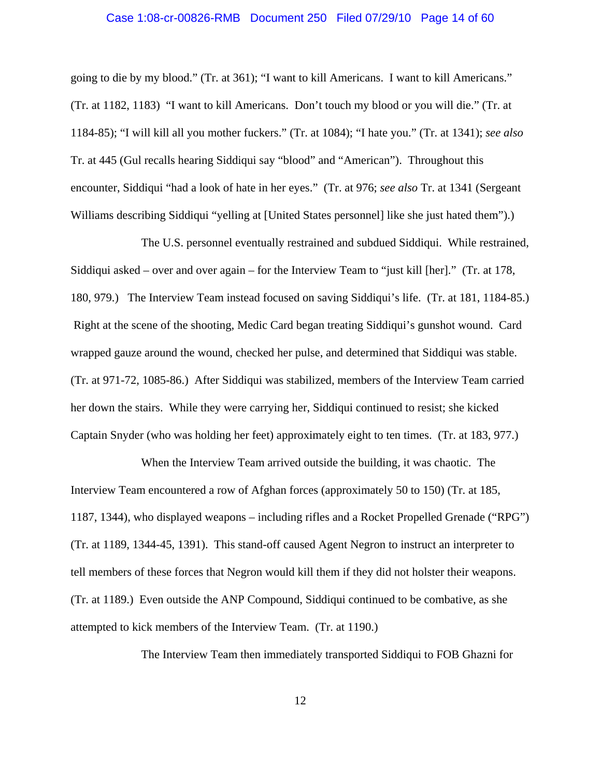### Case 1:08-cr-00826-RMB Document 250 Filed 07/29/10 Page 14 of 60

going to die by my blood." (Tr. at 361); "I want to kill Americans. I want to kill Americans." (Tr. at 1182, 1183) "I want to kill Americans. Don't touch my blood or you will die." (Tr. at 1184-85); "I will kill all you mother fuckers." (Tr. at 1084); "I hate you." (Tr. at 1341); *see also* Tr. at 445 (Gul recalls hearing Siddiqui say "blood" and "American"). Throughout this encounter, Siddiqui "had a look of hate in her eyes." (Tr. at 976; *see also* Tr. at 1341 (Sergeant Williams describing Siddiqui "yelling at [United States personnel] like she just hated them").

The U.S. personnel eventually restrained and subdued Siddiqui. While restrained, Siddiqui asked – over and over again – for the Interview Team to "just kill [her]." (Tr. at 178, 180, 979.) The Interview Team instead focused on saving Siddiqui's life. (Tr. at 181, 1184-85.) Right at the scene of the shooting, Medic Card began treating Siddiqui's gunshot wound. Card wrapped gauze around the wound, checked her pulse, and determined that Siddiqui was stable. (Tr. at 971-72, 1085-86.) After Siddiqui was stabilized, members of the Interview Team carried her down the stairs. While they were carrying her, Siddiqui continued to resist; she kicked Captain Snyder (who was holding her feet) approximately eight to ten times. (Tr. at 183, 977.)

When the Interview Team arrived outside the building, it was chaotic. The Interview Team encountered a row of Afghan forces (approximately 50 to 150) (Tr. at 185, 1187, 1344), who displayed weapons – including rifles and a Rocket Propelled Grenade ("RPG") (Tr. at 1189, 1344-45, 1391). This stand-off caused Agent Negron to instruct an interpreter to tell members of these forces that Negron would kill them if they did not holster their weapons. (Tr. at 1189.) Even outside the ANP Compound, Siddiqui continued to be combative, as she attempted to kick members of the Interview Team. (Tr. at 1190.)

The Interview Team then immediately transported Siddiqui to FOB Ghazni for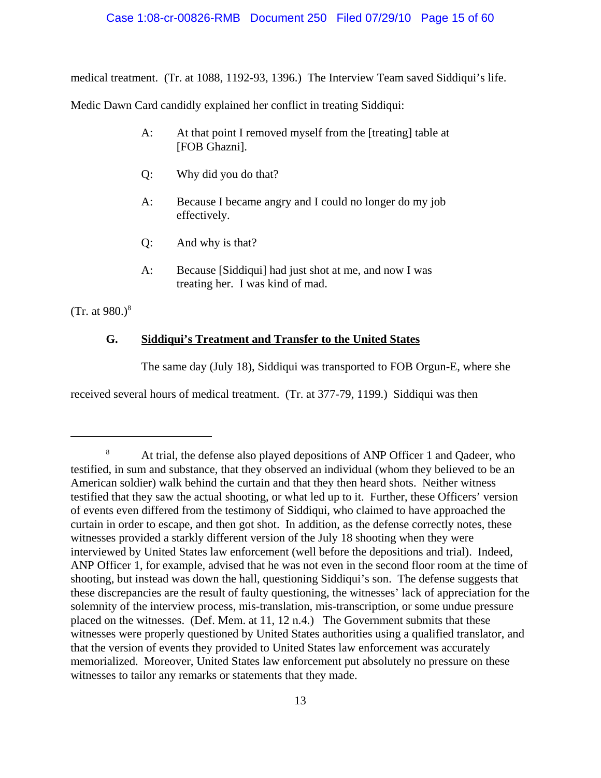medical treatment. (Tr. at 1088, 1192-93, 1396.) The Interview Team saved Siddiqui's life.

Medic Dawn Card candidly explained her conflict in treating Siddiqui:

- A: At that point I removed myself from the [treating] table at [FOB Ghazni].
- Q: Why did you do that?
- A: Because I became angry and I could no longer do my job effectively.
- Q: And why is that?
- A: Because [Siddiqui] had just shot at me, and now I was treating her. I was kind of mad.

(Tr. at  $980.$ )<sup>8</sup>

# **G. Siddiqui's Treatment and Transfer to the United States**

The same day (July 18), Siddiqui was transported to FOB Orgun-E, where she

received several hours of medical treatment. (Tr. at 377-79, 1199.) Siddiqui was then

<sup>8</sup> At trial, the defense also played depositions of ANP Officer 1 and Qadeer, who testified, in sum and substance, that they observed an individual (whom they believed to be an American soldier) walk behind the curtain and that they then heard shots. Neither witness testified that they saw the actual shooting, or what led up to it. Further, these Officers' version of events even differed from the testimony of Siddiqui, who claimed to have approached the curtain in order to escape, and then got shot. In addition, as the defense correctly notes, these witnesses provided a starkly different version of the July 18 shooting when they were interviewed by United States law enforcement (well before the depositions and trial). Indeed, ANP Officer 1, for example, advised that he was not even in the second floor room at the time of shooting, but instead was down the hall, questioning Siddiqui's son. The defense suggests that these discrepancies are the result of faulty questioning, the witnesses' lack of appreciation for the solemnity of the interview process, mis-translation, mis-transcription, or some undue pressure placed on the witnesses. (Def. Mem. at 11, 12 n.4.) The Government submits that these witnesses were properly questioned by United States authorities using a qualified translator, and that the version of events they provided to United States law enforcement was accurately memorialized. Moreover, United States law enforcement put absolutely no pressure on these witnesses to tailor any remarks or statements that they made.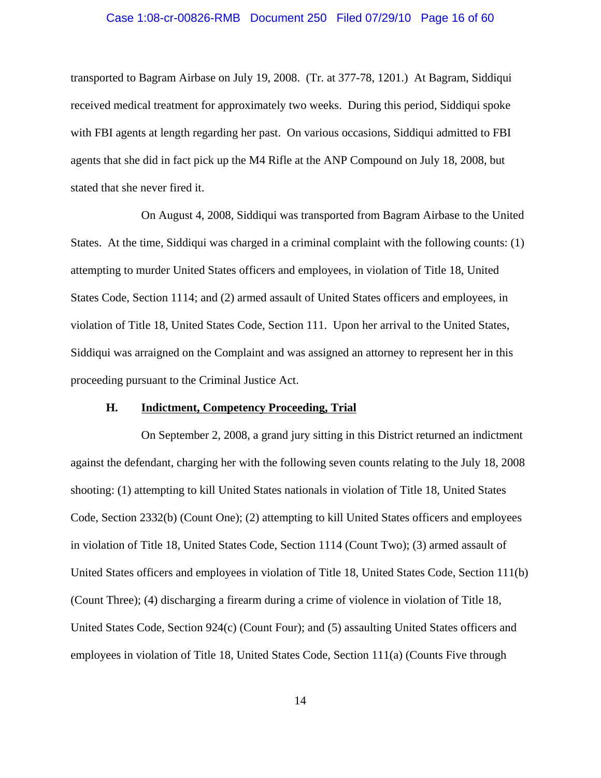#### Case 1:08-cr-00826-RMB Document 250 Filed 07/29/10 Page 16 of 60

transported to Bagram Airbase on July 19, 2008. (Tr. at 377-78, 1201.) At Bagram, Siddiqui received medical treatment for approximately two weeks. During this period, Siddiqui spoke with FBI agents at length regarding her past. On various occasions, Siddiqui admitted to FBI agents that she did in fact pick up the M4 Rifle at the ANP Compound on July 18, 2008, but stated that she never fired it.

On August 4, 2008, Siddiqui was transported from Bagram Airbase to the United States. At the time, Siddiqui was charged in a criminal complaint with the following counts: (1) attempting to murder United States officers and employees, in violation of Title 18, United States Code, Section 1114; and (2) armed assault of United States officers and employees, in violation of Title 18, United States Code, Section 111. Upon her arrival to the United States, Siddiqui was arraigned on the Complaint and was assigned an attorney to represent her in this proceeding pursuant to the Criminal Justice Act.

# **H. Indictment, Competency Proceeding, Trial**

On September 2, 2008, a grand jury sitting in this District returned an indictment against the defendant, charging her with the following seven counts relating to the July 18, 2008 shooting: (1) attempting to kill United States nationals in violation of Title 18, United States Code, Section 2332(b) (Count One); (2) attempting to kill United States officers and employees in violation of Title 18, United States Code, Section 1114 (Count Two); (3) armed assault of United States officers and employees in violation of Title 18, United States Code, Section 111(b) (Count Three); (4) discharging a firearm during a crime of violence in violation of Title 18, United States Code, Section 924(c) (Count Four); and (5) assaulting United States officers and employees in violation of Title 18, United States Code, Section 111(a) (Counts Five through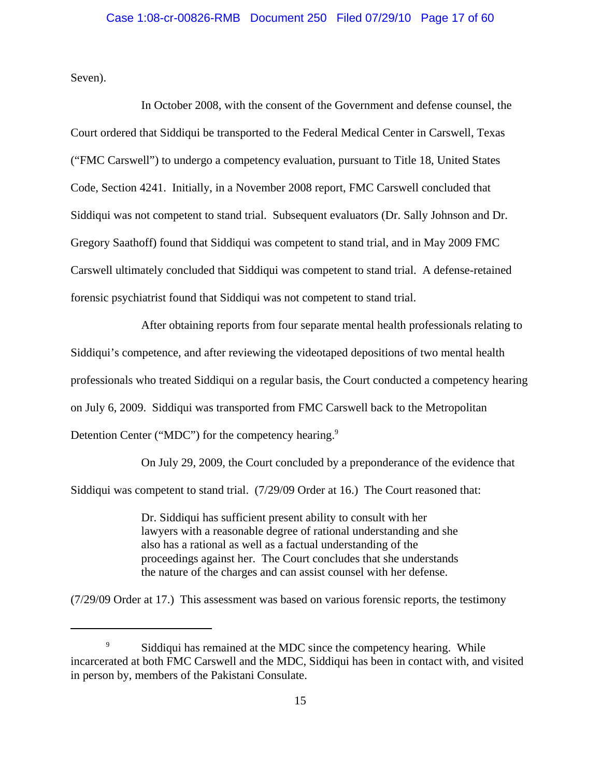Seven).

In October 2008, with the consent of the Government and defense counsel, the Court ordered that Siddiqui be transported to the Federal Medical Center in Carswell, Texas ("FMC Carswell") to undergo a competency evaluation, pursuant to Title 18, United States Code, Section 4241. Initially, in a November 2008 report, FMC Carswell concluded that Siddiqui was not competent to stand trial. Subsequent evaluators (Dr. Sally Johnson and Dr. Gregory Saathoff) found that Siddiqui was competent to stand trial, and in May 2009 FMC Carswell ultimately concluded that Siddiqui was competent to stand trial. A defense-retained forensic psychiatrist found that Siddiqui was not competent to stand trial.

After obtaining reports from four separate mental health professionals relating to Siddiqui's competence, and after reviewing the videotaped depositions of two mental health professionals who treated Siddiqui on a regular basis, the Court conducted a competency hearing on July 6, 2009. Siddiqui was transported from FMC Carswell back to the Metropolitan Detention Center ("MDC") for the competency hearing.<sup>9</sup>

On July 29, 2009, the Court concluded by a preponderance of the evidence that Siddiqui was competent to stand trial. (7/29/09 Order at 16.) The Court reasoned that:

> Dr. Siddiqui has sufficient present ability to consult with her lawyers with a reasonable degree of rational understanding and she also has a rational as well as a factual understanding of the proceedings against her. The Court concludes that she understands the nature of the charges and can assist counsel with her defense.

(7/29/09 Order at 17.) This assessment was based on various forensic reports, the testimony

<sup>&</sup>lt;sup>9</sup> Siddiqui has remained at the MDC since the competency hearing. While incarcerated at both FMC Carswell and the MDC, Siddiqui has been in contact with, and visited in person by, members of the Pakistani Consulate.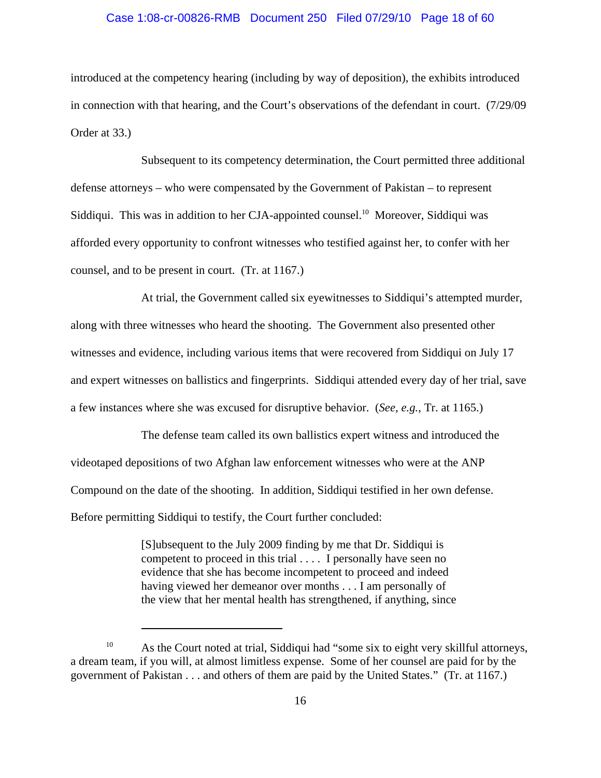### Case 1:08-cr-00826-RMB Document 250 Filed 07/29/10 Page 18 of 60

introduced at the competency hearing (including by way of deposition), the exhibits introduced in connection with that hearing, and the Court's observations of the defendant in court. (7/29/09 Order at 33.)

Subsequent to its competency determination, the Court permitted three additional defense attorneys – who were compensated by the Government of Pakistan – to represent Siddiqui. This was in addition to her CJA-appointed counsel.<sup>10</sup> Moreover, Siddiqui was afforded every opportunity to confront witnesses who testified against her, to confer with her counsel, and to be present in court. (Tr. at 1167.)

At trial, the Government called six eyewitnesses to Siddiqui's attempted murder, along with three witnesses who heard the shooting. The Government also presented other witnesses and evidence, including various items that were recovered from Siddiqui on July 17 and expert witnesses on ballistics and fingerprints. Siddiqui attended every day of her trial, save a few instances where she was excused for disruptive behavior. (*See, e.g.*, Tr. at 1165.)

The defense team called its own ballistics expert witness and introduced the videotaped depositions of two Afghan law enforcement witnesses who were at the ANP Compound on the date of the shooting. In addition, Siddiqui testified in her own defense. Before permitting Siddiqui to testify, the Court further concluded:

> [S]ubsequent to the July 2009 finding by me that Dr. Siddiqui is competent to proceed in this trial . . . . I personally have seen no evidence that she has become incompetent to proceed and indeed having viewed her demeanor over months . . . I am personally of the view that her mental health has strengthened, if anything, since

<sup>&</sup>lt;sup>10</sup> As the Court noted at trial, Siddiqui had "some six to eight very skillful attorneys, a dream team, if you will, at almost limitless expense. Some of her counsel are paid for by the government of Pakistan . . . and others of them are paid by the United States." (Tr. at 1167.)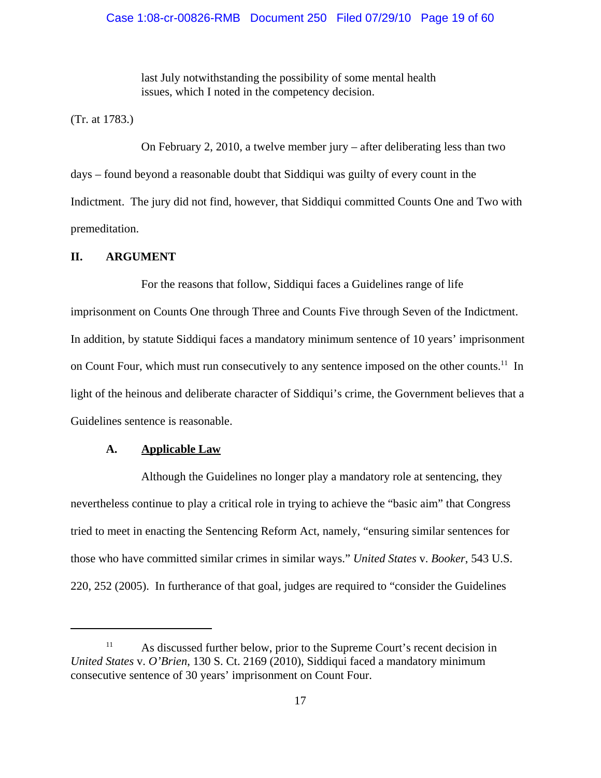last July notwithstanding the possibility of some mental health issues, which I noted in the competency decision.

(Tr. at 1783.)

On February 2, 2010, a twelve member jury – after deliberating less than two days – found beyond a reasonable doubt that Siddiqui was guilty of every count in the Indictment. The jury did not find, however, that Siddiqui committed Counts One and Two with premeditation.

# **II. ARGUMENT**

For the reasons that follow, Siddiqui faces a Guidelines range of life imprisonment on Counts One through Three and Counts Five through Seven of the Indictment. In addition, by statute Siddiqui faces a mandatory minimum sentence of 10 years' imprisonment on Count Four, which must run consecutively to any sentence imposed on the other counts.<sup>11</sup> In light of the heinous and deliberate character of Siddiqui's crime, the Government believes that a Guidelines sentence is reasonable.

#### **A. Applicable Law**

Although the Guidelines no longer play a mandatory role at sentencing, they nevertheless continue to play a critical role in trying to achieve the "basic aim" that Congress tried to meet in enacting the Sentencing Reform Act, namely, "ensuring similar sentences for those who have committed similar crimes in similar ways." *United States* v. *Booker*, 543 U.S. 220, 252 (2005). In furtherance of that goal, judges are required to "consider the Guidelines

<sup>&</sup>lt;sup>11</sup> As discussed further below, prior to the Supreme Court's recent decision in *United States* v. *O'Brien*, 130 S. Ct. 2169 (2010), Siddiqui faced a mandatory minimum consecutive sentence of 30 years' imprisonment on Count Four.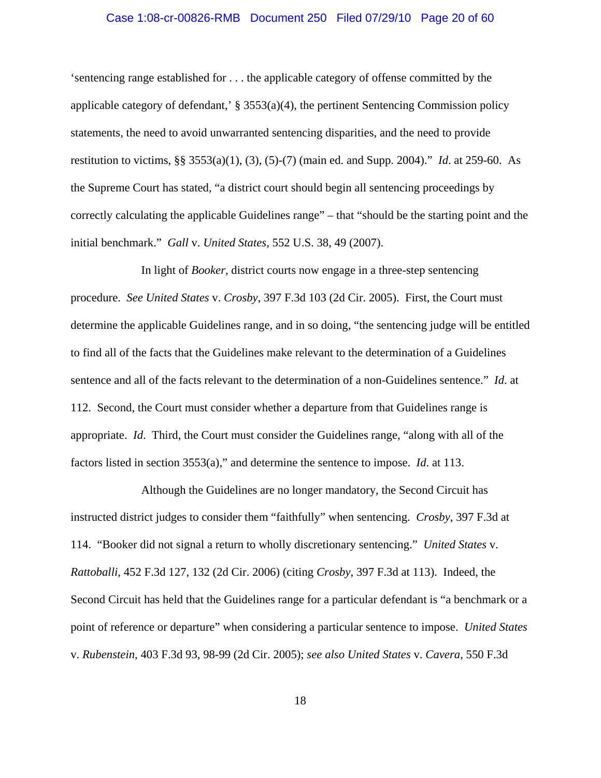#### Case 1:08-cr-00826-RMB Document 250 Filed 07/29/10 Page 20 of 60

'sentencing range established for . . . the applicable category of offense committed by the applicable category of defendant,'  $\S$  3553(a)(4), the pertinent Sentencing Commission policy statements, the need to avoid unwarranted sentencing disparities, and the need to provide restitution to victims, §§ 3553(a)(1), (3), (5)-(7) (main ed. and Supp. 2004)." *Id*. at 259-60. As the Supreme Court has stated, "a district court should begin all sentencing proceedings by correctly calculating the applicable Guidelines range" – that "should be the starting point and the initial benchmark." *Gall* v. *United States*, 552 U.S. 38, 49 (2007).

In light of *Booker*, district courts now engage in a three-step sentencing procedure. *See United States* v. *Crosby*, 397 F.3d 103 (2d Cir. 2005). First, the Court must determine the applicable Guidelines range, and in so doing, "the sentencing judge will be entitled to find all of the facts that the Guidelines make relevant to the determination of a Guidelines sentence and all of the facts relevant to the determination of a non-Guidelines sentence." *Id*. at 112. Second, the Court must consider whether a departure from that Guidelines range is appropriate. *Id*. Third, the Court must consider the Guidelines range, "along with all of the factors listed in section 3553(a)," and determine the sentence to impose. *Id*. at 113.

Although the Guidelines are no longer mandatory, the Second Circuit has instructed district judges to consider them "faithfully" when sentencing. *Crosby*, 397 F.3d at 114. "Booker did not signal a return to wholly discretionary sentencing." *United States* v. *Rattoballi*, 452 F.3d 127, 132 (2d Cir. 2006) (citing *Crosby*, 397 F.3d at 113). Indeed, the Second Circuit has held that the Guidelines range for a particular defendant is "a benchmark or a point of reference or departure" when considering a particular sentence to impose. *United States* v. *Rubenstein*, 403 F.3d 93, 98-99 (2d Cir. 2005); *see also United States* v. *Cavera*, 550 F.3d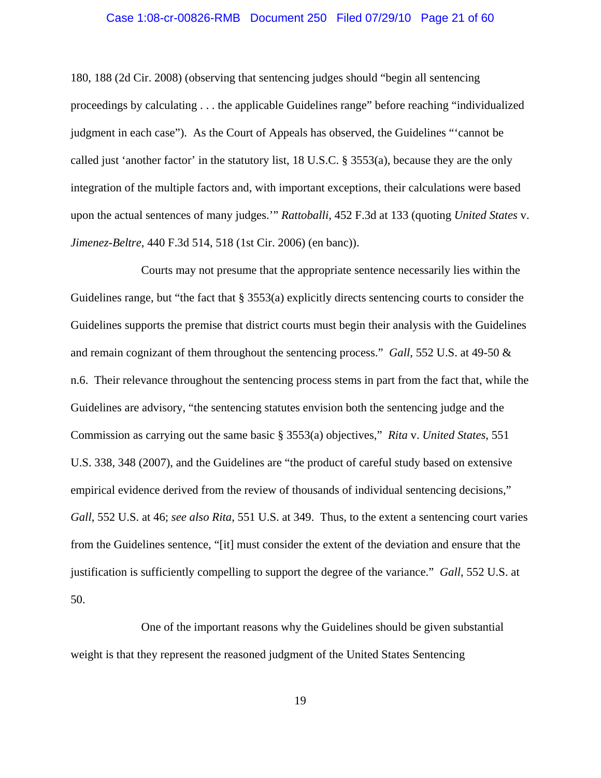## Case 1:08-cr-00826-RMB Document 250 Filed 07/29/10 Page 21 of 60

180, 188 (2d Cir. 2008) (observing that sentencing judges should "begin all sentencing proceedings by calculating . . . the applicable Guidelines range" before reaching "individualized judgment in each case"). As the Court of Appeals has observed, the Guidelines "'cannot be called just 'another factor' in the statutory list, 18 U.S.C.  $\S$  3553(a), because they are the only integration of the multiple factors and, with important exceptions, their calculations were based upon the actual sentences of many judges.'" *Rattoballi*, 452 F.3d at 133 (quoting *United States* v. *Jimenez-Beltre*, 440 F.3d 514, 518 (1st Cir. 2006) (en banc)).

Courts may not presume that the appropriate sentence necessarily lies within the Guidelines range, but "the fact that § 3553(a) explicitly directs sentencing courts to consider the Guidelines supports the premise that district courts must begin their analysis with the Guidelines and remain cognizant of them throughout the sentencing process." *Gall*, 552 U.S. at 49-50 & n.6. Their relevance throughout the sentencing process stems in part from the fact that, while the Guidelines are advisory, "the sentencing statutes envision both the sentencing judge and the Commission as carrying out the same basic § 3553(a) objectives," *Rita* v. *United States*, 551 U.S. 338, 348 (2007), and the Guidelines are "the product of careful study based on extensive empirical evidence derived from the review of thousands of individual sentencing decisions," *Gall*, 552 U.S. at 46; *see also Rita*, 551 U.S. at 349. Thus, to the extent a sentencing court varies from the Guidelines sentence, "[it] must consider the extent of the deviation and ensure that the justification is sufficiently compelling to support the degree of the variance." *Gall*, 552 U.S. at 50.

One of the important reasons why the Guidelines should be given substantial weight is that they represent the reasoned judgment of the United States Sentencing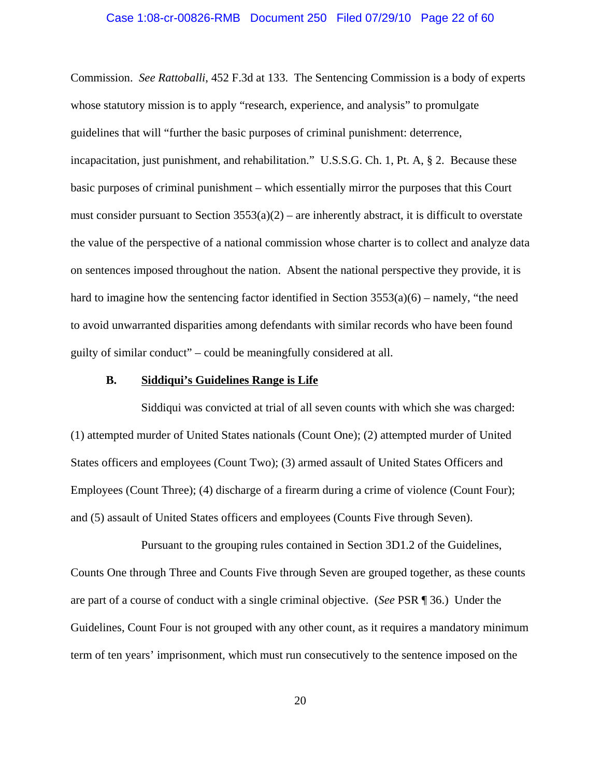#### Case 1:08-cr-00826-RMB Document 250 Filed 07/29/10 Page 22 of 60

Commission. *See Rattoballi*, 452 F.3d at 133. The Sentencing Commission is a body of experts whose statutory mission is to apply "research, experience, and analysis" to promulgate guidelines that will "further the basic purposes of criminal punishment: deterrence, incapacitation, just punishment, and rehabilitation." U.S.S.G. Ch. 1, Pt. A, § 2. Because these basic purposes of criminal punishment – which essentially mirror the purposes that this Court must consider pursuant to Section  $3553(a)(2)$  – are inherently abstract, it is difficult to overstate the value of the perspective of a national commission whose charter is to collect and analyze data on sentences imposed throughout the nation. Absent the national perspective they provide, it is hard to imagine how the sentencing factor identified in Section  $3553(a)(6)$  – namely, "the need to avoid unwarranted disparities among defendants with similar records who have been found guilty of similar conduct" – could be meaningfully considered at all.

# **B. Siddiqui's Guidelines Range is Life**

Siddiqui was convicted at trial of all seven counts with which she was charged: (1) attempted murder of United States nationals (Count One); (2) attempted murder of United States officers and employees (Count Two); (3) armed assault of United States Officers and Employees (Count Three); (4) discharge of a firearm during a crime of violence (Count Four); and (5) assault of United States officers and employees (Counts Five through Seven).

Pursuant to the grouping rules contained in Section 3D1.2 of the Guidelines, Counts One through Three and Counts Five through Seven are grouped together, as these counts are part of a course of conduct with a single criminal objective. (*See* PSR ¶ 36.) Under the Guidelines, Count Four is not grouped with any other count, as it requires a mandatory minimum term of ten years' imprisonment, which must run consecutively to the sentence imposed on the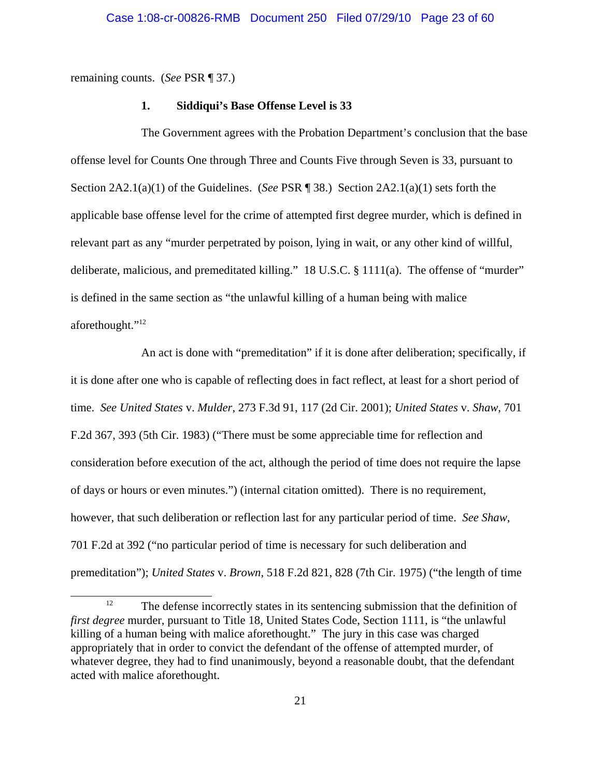remaining counts. (*See* PSR ¶ 37.)

#### **1. Siddiqui's Base Offense Level is 33**

The Government agrees with the Probation Department's conclusion that the base offense level for Counts One through Three and Counts Five through Seven is 33, pursuant to Section 2A2.1(a)(1) of the Guidelines. (*See* PSR ¶ 38.) Section 2A2.1(a)(1) sets forth the applicable base offense level for the crime of attempted first degree murder, which is defined in relevant part as any "murder perpetrated by poison, lying in wait, or any other kind of willful, deliberate, malicious, and premeditated killing." 18 U.S.C. § 1111(a). The offense of "murder" is defined in the same section as "the unlawful killing of a human being with malice aforethought."<sup>12</sup>

An act is done with "premeditation" if it is done after deliberation; specifically, if it is done after one who is capable of reflecting does in fact reflect, at least for a short period of time. *See United States* v. *Mulder*, 273 F.3d 91, 117 (2d Cir. 2001); *United States* v. *Shaw*, 701 F.2d 367, 393 (5th Cir. 1983) ("There must be some appreciable time for reflection and consideration before execution of the act, although the period of time does not require the lapse of days or hours or even minutes.") (internal citation omitted). There is no requirement, however, that such deliberation or reflection last for any particular period of time. *See Shaw*, 701 F.2d at 392 ("no particular period of time is necessary for such deliberation and premeditation"); *United States* v. *Brown*, 518 F.2d 821, 828 (7th Cir. 1975) ("the length of time

<sup>&</sup>lt;sup>12</sup> The defense incorrectly states in its sentencing submission that the definition of *first degree* murder, pursuant to Title 18, United States Code, Section 1111, is "the unlawful killing of a human being with malice aforethought." The jury in this case was charged appropriately that in order to convict the defendant of the offense of attempted murder, of whatever degree, they had to find unanimously, beyond a reasonable doubt, that the defendant acted with malice aforethought.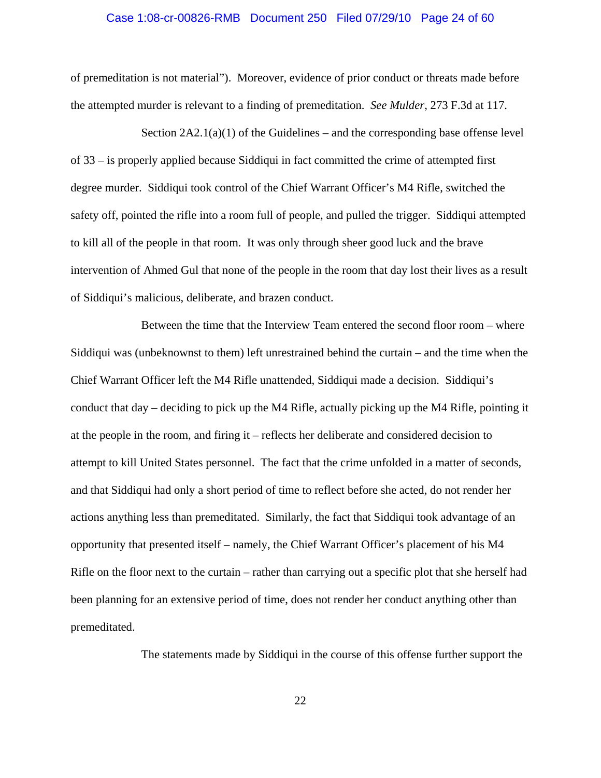#### Case 1:08-cr-00826-RMB Document 250 Filed 07/29/10 Page 24 of 60

of premeditation is not material"). Moreover, evidence of prior conduct or threats made before the attempted murder is relevant to a finding of premeditation. *See Mulder*, 273 F.3d at 117.

Section  $2A2.1(a)(1)$  of the Guidelines – and the corresponding base offense level of 33 – is properly applied because Siddiqui in fact committed the crime of attempted first degree murder. Siddiqui took control of the Chief Warrant Officer's M4 Rifle, switched the safety off, pointed the rifle into a room full of people, and pulled the trigger. Siddiqui attempted to kill all of the people in that room. It was only through sheer good luck and the brave intervention of Ahmed Gul that none of the people in the room that day lost their lives as a result of Siddiqui's malicious, deliberate, and brazen conduct.

Between the time that the Interview Team entered the second floor room – where Siddiqui was (unbeknownst to them) left unrestrained behind the curtain – and the time when the Chief Warrant Officer left the M4 Rifle unattended, Siddiqui made a decision. Siddiqui's conduct that day – deciding to pick up the M4 Rifle, actually picking up the M4 Rifle, pointing it at the people in the room, and firing it – reflects her deliberate and considered decision to attempt to kill United States personnel. The fact that the crime unfolded in a matter of seconds, and that Siddiqui had only a short period of time to reflect before she acted, do not render her actions anything less than premeditated. Similarly, the fact that Siddiqui took advantage of an opportunity that presented itself – namely, the Chief Warrant Officer's placement of his M4 Rifle on the floor next to the curtain – rather than carrying out a specific plot that she herself had been planning for an extensive period of time, does not render her conduct anything other than premeditated.

The statements made by Siddiqui in the course of this offense further support the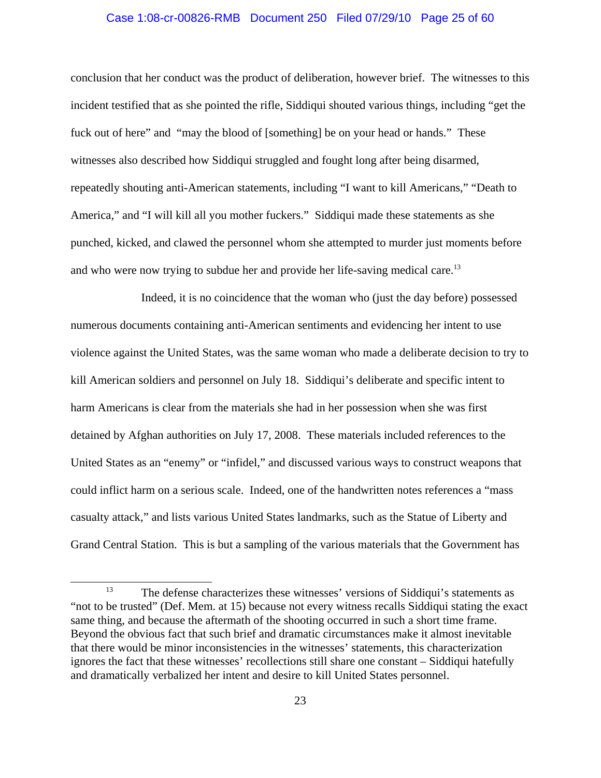## Case 1:08-cr-00826-RMB Document 250 Filed 07/29/10 Page 25 of 60

conclusion that her conduct was the product of deliberation, however brief. The witnesses to this incident testified that as she pointed the rifle, Siddiqui shouted various things, including "get the fuck out of here" and "may the blood of [something] be on your head or hands." These witnesses also described how Siddiqui struggled and fought long after being disarmed, repeatedly shouting anti-American statements, including "I want to kill Americans," "Death to America," and "I will kill all you mother fuckers." Siddiqui made these statements as she punched, kicked, and clawed the personnel whom she attempted to murder just moments before and who were now trying to subdue her and provide her life-saving medical care.<sup>13</sup>

Indeed, it is no coincidence that the woman who (just the day before) possessed numerous documents containing anti-American sentiments and evidencing her intent to use violence against the United States, was the same woman who made a deliberate decision to try to kill American soldiers and personnel on July 18. Siddiqui's deliberate and specific intent to harm Americans is clear from the materials she had in her possession when she was first detained by Afghan authorities on July 17, 2008. These materials included references to the United States as an "enemy" or "infidel," and discussed various ways to construct weapons that could inflict harm on a serious scale. Indeed, one of the handwritten notes references a "mass casualty attack," and lists various United States landmarks, such as the Statue of Liberty and Grand Central Station. This is but a sampling of the various materials that the Government has

<sup>&</sup>lt;sup>13</sup> The defense characterizes these witnesses' versions of Siddiqui's statements as "not to be trusted" (Def. Mem. at 15) because not every witness recalls Siddiqui stating the exact same thing, and because the aftermath of the shooting occurred in such a short time frame. Beyond the obvious fact that such brief and dramatic circumstances make it almost inevitable that there would be minor inconsistencies in the witnesses' statements, this characterization ignores the fact that these witnesses' recollections still share one constant – Siddiqui hatefully and dramatically verbalized her intent and desire to kill United States personnel.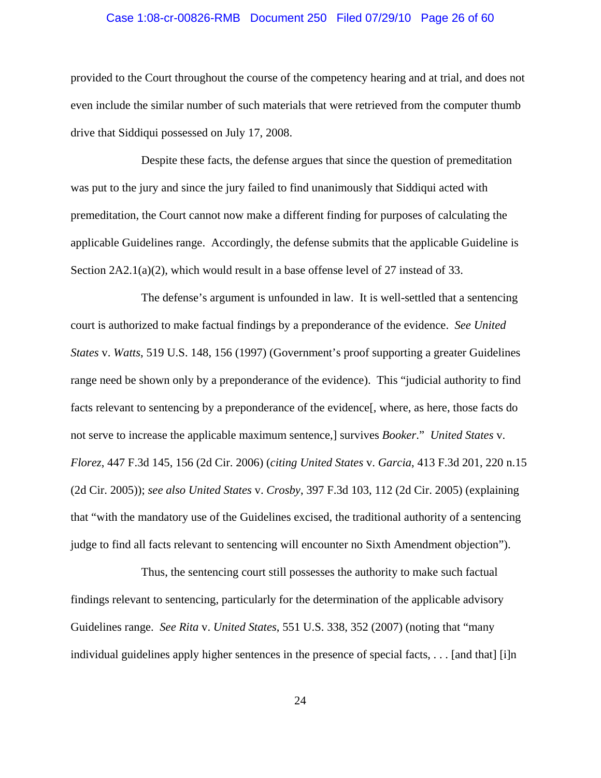### Case 1:08-cr-00826-RMB Document 250 Filed 07/29/10 Page 26 of 60

provided to the Court throughout the course of the competency hearing and at trial, and does not even include the similar number of such materials that were retrieved from the computer thumb drive that Siddiqui possessed on July 17, 2008.

Despite these facts, the defense argues that since the question of premeditation was put to the jury and since the jury failed to find unanimously that Siddiqui acted with premeditation, the Court cannot now make a different finding for purposes of calculating the applicable Guidelines range. Accordingly, the defense submits that the applicable Guideline is Section 2A2.1(a)(2), which would result in a base offense level of 27 instead of 33.

The defense's argument is unfounded in law. It is well-settled that a sentencing court is authorized to make factual findings by a preponderance of the evidence. *See United States* v. *Watts*, 519 U.S. 148, 156 (1997) (Government's proof supporting a greater Guidelines range need be shown only by a preponderance of the evidence). This "judicial authority to find facts relevant to sentencing by a preponderance of the evidence[, where, as here, those facts do not serve to increase the applicable maximum sentence,] survives *Booker*." *United States* v. *Florez*, 447 F.3d 145, 156 (2d Cir. 2006) (*citing United States* v. *Garcia*, 413 F.3d 201, 220 n.15 (2d Cir. 2005)); *see also United States* v. *Crosby*, 397 F.3d 103, 112 (2d Cir. 2005) (explaining that "with the mandatory use of the Guidelines excised, the traditional authority of a sentencing judge to find all facts relevant to sentencing will encounter no Sixth Amendment objection").

Thus, the sentencing court still possesses the authority to make such factual findings relevant to sentencing, particularly for the determination of the applicable advisory Guidelines range. *See Rita* v. *United States*, 551 U.S. 338, 352 (2007) (noting that "many individual guidelines apply higher sentences in the presence of special facts, . . . [and that] [i]n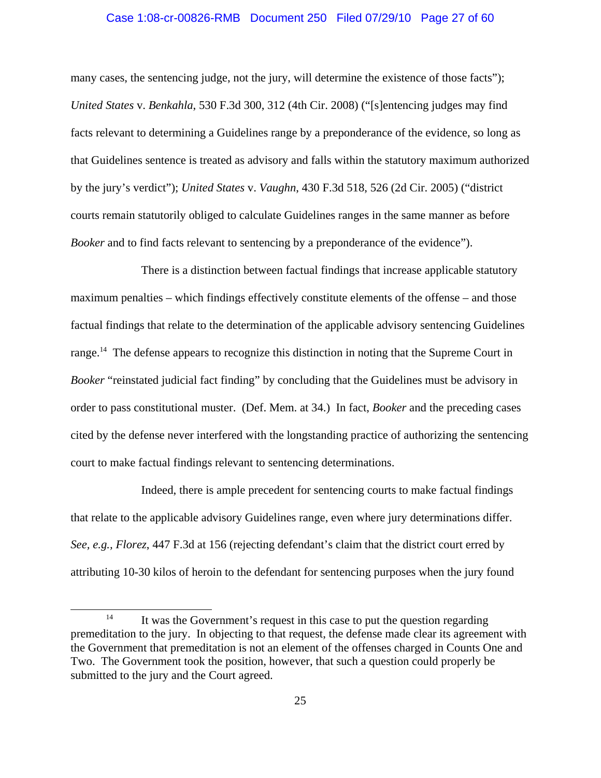### Case 1:08-cr-00826-RMB Document 250 Filed 07/29/10 Page 27 of 60

many cases, the sentencing judge, not the jury, will determine the existence of those facts"); *United States* v. *Benkahla*, 530 F.3d 300, 312 (4th Cir. 2008) ("[s]entencing judges may find facts relevant to determining a Guidelines range by a preponderance of the evidence, so long as that Guidelines sentence is treated as advisory and falls within the statutory maximum authorized by the jury's verdict"); *United States* v. *Vaughn*, 430 F.3d 518, 526 (2d Cir. 2005) ("district courts remain statutorily obliged to calculate Guidelines ranges in the same manner as before *Booker* and to find facts relevant to sentencing by a preponderance of the evidence").

There is a distinction between factual findings that increase applicable statutory maximum penalties – which findings effectively constitute elements of the offense – and those factual findings that relate to the determination of the applicable advisory sentencing Guidelines range.<sup>14</sup> The defense appears to recognize this distinction in noting that the Supreme Court in *Booker* "reinstated judicial fact finding" by concluding that the Guidelines must be advisory in order to pass constitutional muster. (Def. Mem. at 34.) In fact, *Booker* and the preceding cases cited by the defense never interfered with the longstanding practice of authorizing the sentencing court to make factual findings relevant to sentencing determinations.

Indeed, there is ample precedent for sentencing courts to make factual findings that relate to the applicable advisory Guidelines range, even where jury determinations differ. *See, e.g., Florez*, 447 F.3d at 156 (rejecting defendant's claim that the district court erred by attributing 10-30 kilos of heroin to the defendant for sentencing purposes when the jury found

 $14$  It was the Government's request in this case to put the question regarding premeditation to the jury. In objecting to that request, the defense made clear its agreement with the Government that premeditation is not an element of the offenses charged in Counts One and Two. The Government took the position, however, that such a question could properly be submitted to the jury and the Court agreed.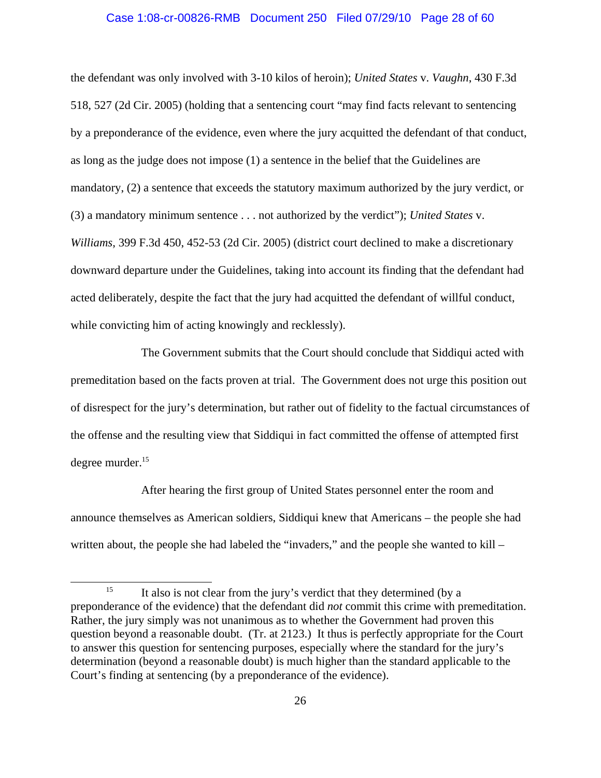#### Case 1:08-cr-00826-RMB Document 250 Filed 07/29/10 Page 28 of 60

the defendant was only involved with 3-10 kilos of heroin); *United States* v. *Vaughn*, 430 F.3d 518, 527 (2d Cir. 2005) (holding that a sentencing court "may find facts relevant to sentencing by a preponderance of the evidence, even where the jury acquitted the defendant of that conduct, as long as the judge does not impose (1) a sentence in the belief that the Guidelines are mandatory, (2) a sentence that exceeds the statutory maximum authorized by the jury verdict, or (3) a mandatory minimum sentence . . . not authorized by the verdict"); *United States* v. *Williams*, 399 F.3d 450, 452-53 (2d Cir. 2005) (district court declined to make a discretionary downward departure under the Guidelines, taking into account its finding that the defendant had acted deliberately, despite the fact that the jury had acquitted the defendant of willful conduct, while convicting him of acting knowingly and recklessly).

The Government submits that the Court should conclude that Siddiqui acted with premeditation based on the facts proven at trial. The Government does not urge this position out of disrespect for the jury's determination, but rather out of fidelity to the factual circumstances of the offense and the resulting view that Siddiqui in fact committed the offense of attempted first degree murder.15

After hearing the first group of United States personnel enter the room and announce themselves as American soldiers, Siddiqui knew that Americans – the people she had written about, the people she had labeled the "invaders," and the people she wanted to kill –

<sup>&</sup>lt;sup>15</sup> It also is not clear from the jury's verdict that they determined (by a preponderance of the evidence) that the defendant did *not* commit this crime with premeditation. Rather, the jury simply was not unanimous as to whether the Government had proven this question beyond a reasonable doubt. (Tr. at 2123.) It thus is perfectly appropriate for the Court to answer this question for sentencing purposes, especially where the standard for the jury's determination (beyond a reasonable doubt) is much higher than the standard applicable to the Court's finding at sentencing (by a preponderance of the evidence).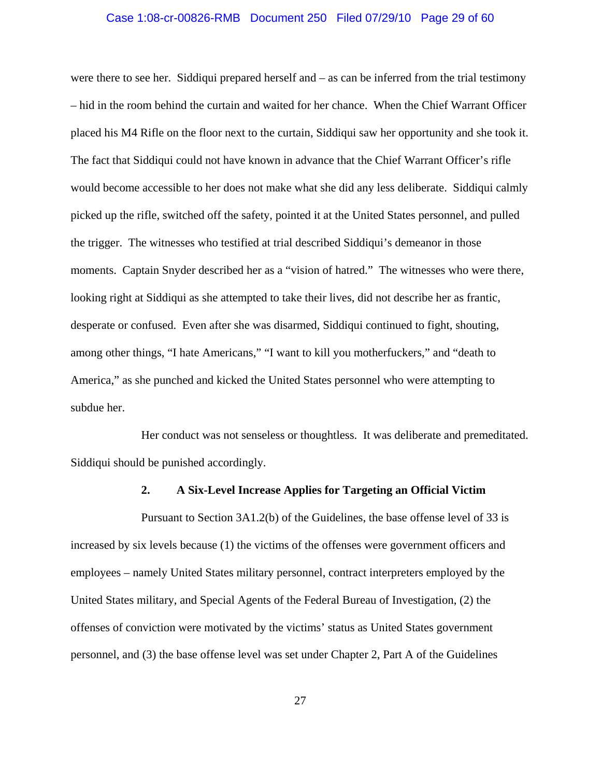#### Case 1:08-cr-00826-RMB Document 250 Filed 07/29/10 Page 29 of 60

were there to see her. Siddiqui prepared herself and – as can be inferred from the trial testimony – hid in the room behind the curtain and waited for her chance. When the Chief Warrant Officer placed his M4 Rifle on the floor next to the curtain, Siddiqui saw her opportunity and she took it. The fact that Siddiqui could not have known in advance that the Chief Warrant Officer's rifle would become accessible to her does not make what she did any less deliberate. Siddiqui calmly picked up the rifle, switched off the safety, pointed it at the United States personnel, and pulled the trigger. The witnesses who testified at trial described Siddiqui's demeanor in those moments. Captain Snyder described her as a "vision of hatred." The witnesses who were there, looking right at Siddiqui as she attempted to take their lives, did not describe her as frantic, desperate or confused. Even after she was disarmed, Siddiqui continued to fight, shouting, among other things, "I hate Americans," "I want to kill you motherfuckers," and "death to America," as she punched and kicked the United States personnel who were attempting to subdue her.

Her conduct was not senseless or thoughtless. It was deliberate and premeditated. Siddiqui should be punished accordingly.

#### **2. A Six-Level Increase Applies for Targeting an Official Victim**

Pursuant to Section 3A1.2(b) of the Guidelines, the base offense level of 33 is increased by six levels because (1) the victims of the offenses were government officers and employees – namely United States military personnel, contract interpreters employed by the United States military, and Special Agents of the Federal Bureau of Investigation, (2) the offenses of conviction were motivated by the victims' status as United States government personnel, and (3) the base offense level was set under Chapter 2, Part A of the Guidelines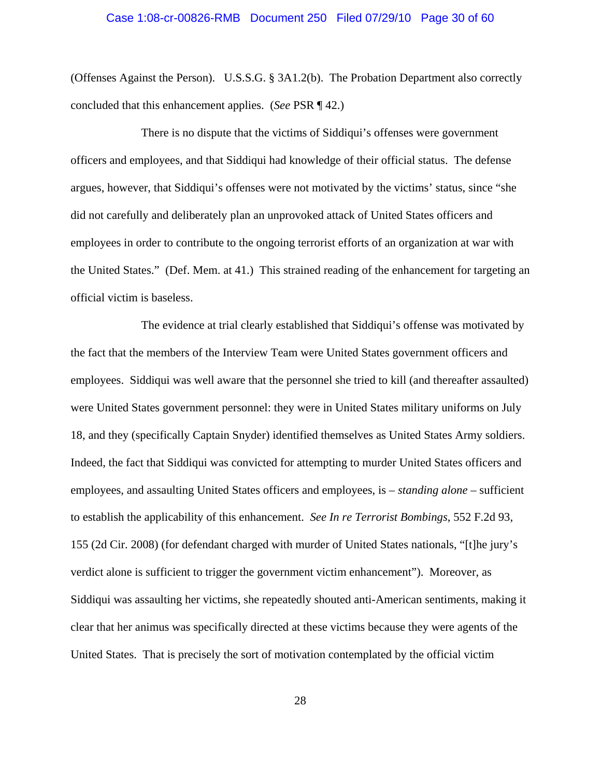#### Case 1:08-cr-00826-RMB Document 250 Filed 07/29/10 Page 30 of 60

(Offenses Against the Person). U.S.S.G. § 3A1.2(b). The Probation Department also correctly concluded that this enhancement applies. (*See* PSR ¶ 42.)

There is no dispute that the victims of Siddiqui's offenses were government officers and employees, and that Siddiqui had knowledge of their official status. The defense argues, however, that Siddiqui's offenses were not motivated by the victims' status, since "she did not carefully and deliberately plan an unprovoked attack of United States officers and employees in order to contribute to the ongoing terrorist efforts of an organization at war with the United States." (Def. Mem. at 41.) This strained reading of the enhancement for targeting an official victim is baseless.

The evidence at trial clearly established that Siddiqui's offense was motivated by the fact that the members of the Interview Team were United States government officers and employees. Siddiqui was well aware that the personnel she tried to kill (and thereafter assaulted) were United States government personnel: they were in United States military uniforms on July 18, and they (specifically Captain Snyder) identified themselves as United States Army soldiers. Indeed, the fact that Siddiqui was convicted for attempting to murder United States officers and employees, and assaulting United States officers and employees, is – *standing alone* – sufficient to establish the applicability of this enhancement. *See In re Terrorist Bombings*, 552 F.2d 93, 155 (2d Cir. 2008) (for defendant charged with murder of United States nationals, "[t]he jury's verdict alone is sufficient to trigger the government victim enhancement"). Moreover, as Siddiqui was assaulting her victims, she repeatedly shouted anti-American sentiments, making it clear that her animus was specifically directed at these victims because they were agents of the United States. That is precisely the sort of motivation contemplated by the official victim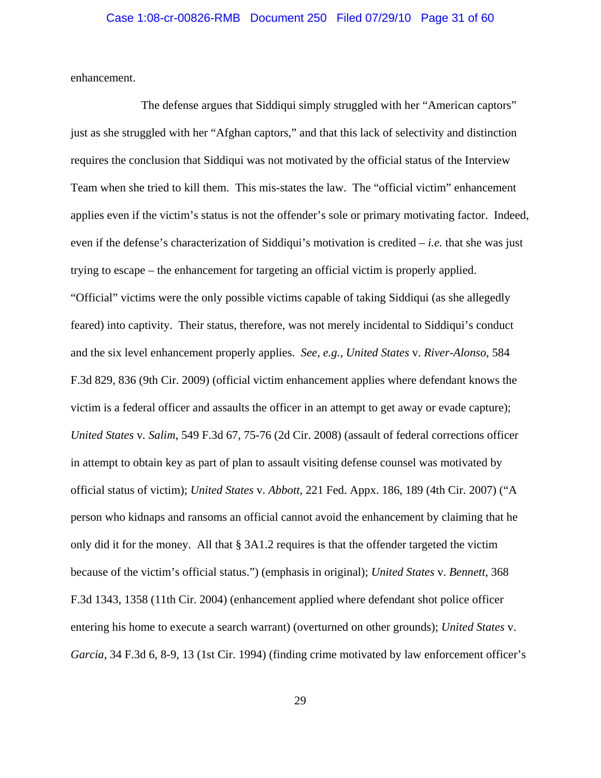enhancement.

The defense argues that Siddiqui simply struggled with her "American captors" just as she struggled with her "Afghan captors," and that this lack of selectivity and distinction requires the conclusion that Siddiqui was not motivated by the official status of the Interview Team when she tried to kill them. This mis-states the law. The "official victim" enhancement applies even if the victim's status is not the offender's sole or primary motivating factor. Indeed, even if the defense's characterization of Siddiqui's motivation is credited – *i.e.* that she was just trying to escape – the enhancement for targeting an official victim is properly applied. "Official" victims were the only possible victims capable of taking Siddiqui (as she allegedly feared) into captivity. Their status, therefore, was not merely incidental to Siddiqui's conduct and the six level enhancement properly applies. *See, e.g., United States* v. *River-Alonso*, 584 F.3d 829, 836 (9th Cir. 2009) (official victim enhancement applies where defendant knows the victim is a federal officer and assaults the officer in an attempt to get away or evade capture); *United States* v*. Salim*, 549 F.3d 67, 75-76 (2d Cir. 2008) (assault of federal corrections officer in attempt to obtain key as part of plan to assault visiting defense counsel was motivated by official status of victim); *United States* v. *Abbott*, 221 Fed. Appx. 186, 189 (4th Cir. 2007) ("A person who kidnaps and ransoms an official cannot avoid the enhancement by claiming that he only did it for the money. All that § 3A1.2 requires is that the offender targeted the victim because of the victim's official status.") (emphasis in original); *United States* v. *Bennett*, 368 F.3d 1343, 1358 (11th Cir. 2004) (enhancement applied where defendant shot police officer entering his home to execute a search warrant) (overturned on other grounds); *United States* v. *Garcia*, 34 F.3d 6, 8-9, 13 (1st Cir. 1994) (finding crime motivated by law enforcement officer's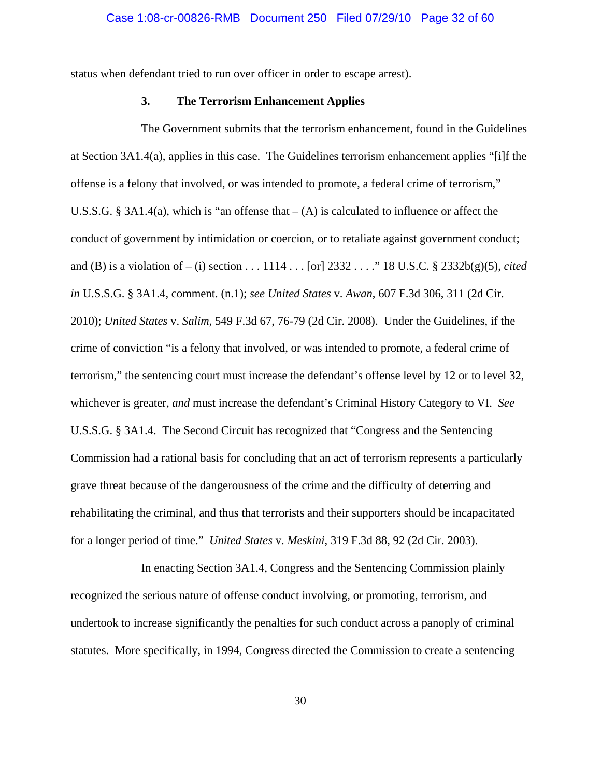status when defendant tried to run over officer in order to escape arrest).

#### **3. The Terrorism Enhancement Applies**

The Government submits that the terrorism enhancement, found in the Guidelines at Section 3A1.4(a), applies in this case. The Guidelines terrorism enhancement applies "[i]f the offense is a felony that involved, or was intended to promote, a federal crime of terrorism," U.S.S.G. § 3A1.4(a), which is "an offense that  $-(A)$  is calculated to influence or affect the conduct of government by intimidation or coercion, or to retaliate against government conduct; and (B) is a violation of – (i) section . . . 1114 . . . [or] 2332 . . . ." 18 U.S.C. § 2332b(g)(5), *cited in* U.S.S.G. § 3A1.4, comment. (n.1); *see United States* v. *Awan*, 607 F.3d 306, 311 (2d Cir. 2010); *United States* v. *Salim*, 549 F.3d 67, 76-79 (2d Cir. 2008). Under the Guidelines, if the crime of conviction "is a felony that involved, or was intended to promote, a federal crime of terrorism," the sentencing court must increase the defendant's offense level by 12 or to level 32, whichever is greater, *and* must increase the defendant's Criminal History Category to VI. *See* U.S.S.G. § 3A1.4. The Second Circuit has recognized that "Congress and the Sentencing Commission had a rational basis for concluding that an act of terrorism represents a particularly grave threat because of the dangerousness of the crime and the difficulty of deterring and rehabilitating the criminal, and thus that terrorists and their supporters should be incapacitated for a longer period of time." *United States* v. *Meskini*, 319 F.3d 88, 92 (2d Cir. 2003).

In enacting Section 3A1.4, Congress and the Sentencing Commission plainly recognized the serious nature of offense conduct involving, or promoting, terrorism, and undertook to increase significantly the penalties for such conduct across a panoply of criminal statutes. More specifically, in 1994, Congress directed the Commission to create a sentencing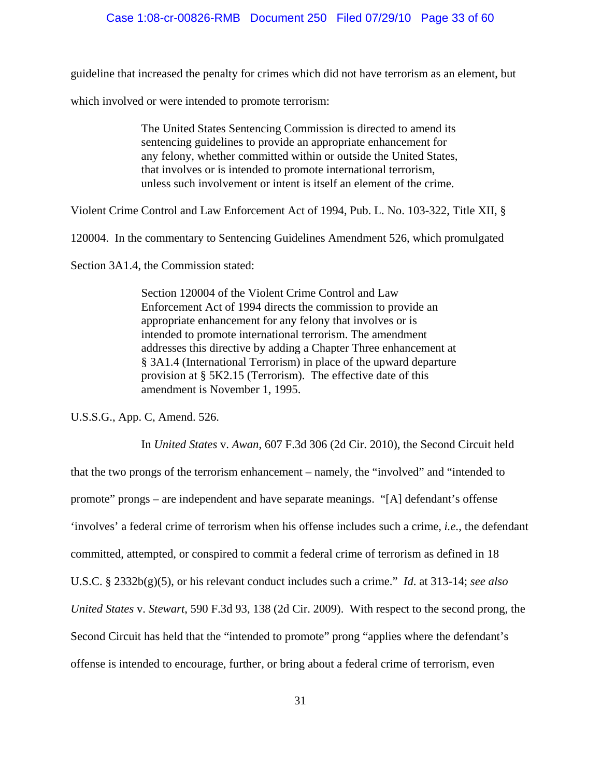guideline that increased the penalty for crimes which did not have terrorism as an element, but

which involved or were intended to promote terrorism:

The United States Sentencing Commission is directed to amend its sentencing guidelines to provide an appropriate enhancement for any felony, whether committed within or outside the United States, that involves or is intended to promote international terrorism, unless such involvement or intent is itself an element of the crime.

Violent Crime Control and Law Enforcement Act of 1994, Pub. L. No. 103-322, Title XII, §

120004. In the commentary to Sentencing Guidelines Amendment 526, which promulgated

Section 3A1.4, the Commission stated:

Section 120004 of the Violent Crime Control and Law Enforcement Act of 1994 directs the commission to provide an appropriate enhancement for any felony that involves or is intended to promote international terrorism. The amendment addresses this directive by adding a Chapter Three enhancement at § 3A1.4 (International Terrorism) in place of the upward departure provision at § 5K2.15 (Terrorism). The effective date of this amendment is November 1, 1995.

U.S.S.G., App. C, Amend. 526.

In *United States* v. *Awan*, 607 F.3d 306 (2d Cir. 2010), the Second Circuit held that the two prongs of the terrorism enhancement – namely, the "involved" and "intended to promote" prongs – are independent and have separate meanings. "[A] defendant's offense 'involves' a federal crime of terrorism when his offense includes such a crime, *i.e.*, the defendant committed, attempted, or conspired to commit a federal crime of terrorism as defined in 18 U.S.C. § 2332b(g)(5), or his relevant conduct includes such a crime." *Id*. at 313-14; *see also United States* v. *Stewart*, 590 F.3d 93, 138 (2d Cir. 2009). With respect to the second prong, the Second Circuit has held that the "intended to promote" prong "applies where the defendant's offense is intended to encourage, further, or bring about a federal crime of terrorism, even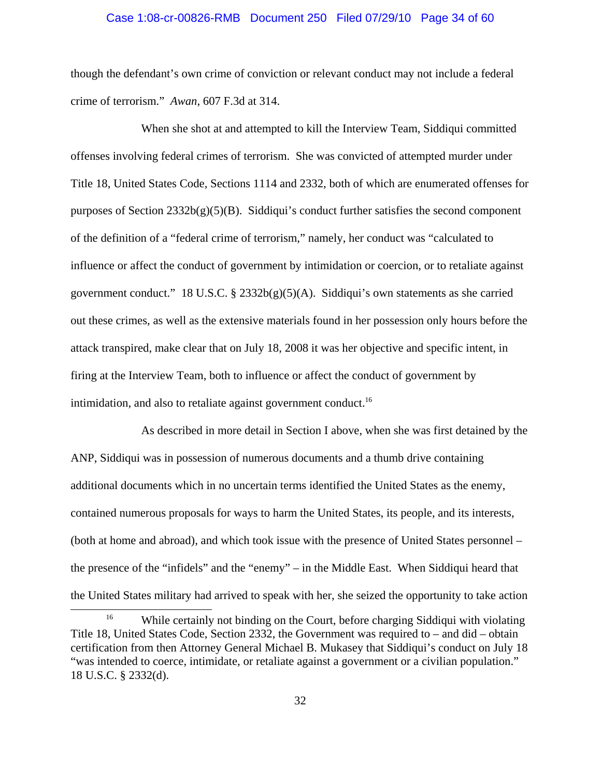#### Case 1:08-cr-00826-RMB Document 250 Filed 07/29/10 Page 34 of 60

though the defendant's own crime of conviction or relevant conduct may not include a federal crime of terrorism." *Awan*, 607 F.3d at 314.

When she shot at and attempted to kill the Interview Team, Siddiqui committed offenses involving federal crimes of terrorism. She was convicted of attempted murder under Title 18, United States Code, Sections 1114 and 2332, both of which are enumerated offenses for purposes of Section  $2332b(g)(5)(B)$ . Siddiqui's conduct further satisfies the second component of the definition of a "federal crime of terrorism," namely, her conduct was "calculated to influence or affect the conduct of government by intimidation or coercion, or to retaliate against government conduct." 18 U.S.C.  $\S$  2332b(g)(5)(A). Siddiqui's own statements as she carried out these crimes, as well as the extensive materials found in her possession only hours before the attack transpired, make clear that on July 18, 2008 it was her objective and specific intent, in firing at the Interview Team, both to influence or affect the conduct of government by intimidation, and also to retaliate against government conduct.<sup>16</sup>

As described in more detail in Section I above, when she was first detained by the ANP, Siddiqui was in possession of numerous documents and a thumb drive containing additional documents which in no uncertain terms identified the United States as the enemy, contained numerous proposals for ways to harm the United States, its people, and its interests, (both at home and abroad), and which took issue with the presence of United States personnel – the presence of the "infidels" and the "enemy" – in the Middle East. When Siddiqui heard that the United States military had arrived to speak with her, she seized the opportunity to take action

<sup>&</sup>lt;sup>16</sup> While certainly not binding on the Court, before charging Siddiqui with violating Title 18, United States Code, Section 2332, the Government was required to – and did – obtain certification from then Attorney General Michael B. Mukasey that Siddiqui's conduct on July 18 "was intended to coerce, intimidate, or retaliate against a government or a civilian population." 18 U.S.C. § 2332(d).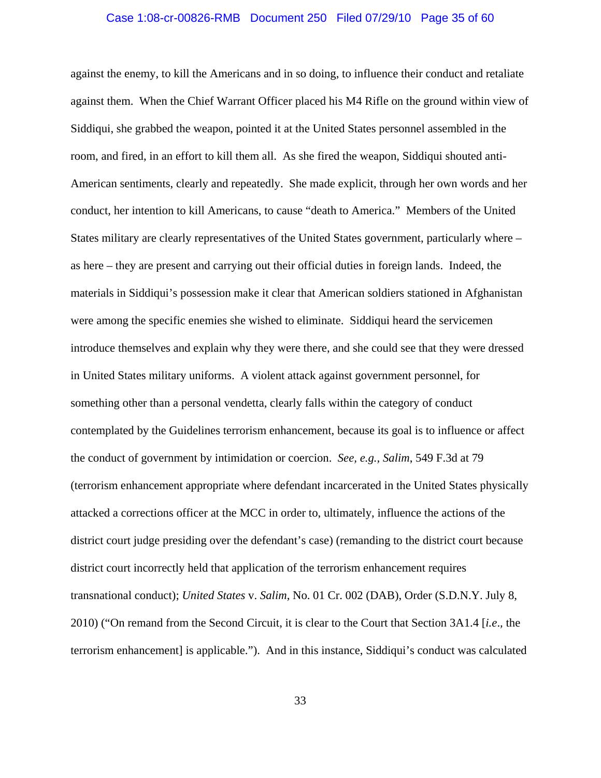#### Case 1:08-cr-00826-RMB Document 250 Filed 07/29/10 Page 35 of 60

against the enemy, to kill the Americans and in so doing, to influence their conduct and retaliate against them. When the Chief Warrant Officer placed his M4 Rifle on the ground within view of Siddiqui, she grabbed the weapon, pointed it at the United States personnel assembled in the room, and fired, in an effort to kill them all. As she fired the weapon, Siddiqui shouted anti-American sentiments, clearly and repeatedly. She made explicit, through her own words and her conduct, her intention to kill Americans, to cause "death to America." Members of the United States military are clearly representatives of the United States government, particularly where – as here – they are present and carrying out their official duties in foreign lands. Indeed, the materials in Siddiqui's possession make it clear that American soldiers stationed in Afghanistan were among the specific enemies she wished to eliminate. Siddiqui heard the servicemen introduce themselves and explain why they were there, and she could see that they were dressed in United States military uniforms. A violent attack against government personnel, for something other than a personal vendetta, clearly falls within the category of conduct contemplated by the Guidelines terrorism enhancement, because its goal is to influence or affect the conduct of government by intimidation or coercion. *See, e.g., Salim*, 549 F.3d at 79 (terrorism enhancement appropriate where defendant incarcerated in the United States physically attacked a corrections officer at the MCC in order to, ultimately, influence the actions of the district court judge presiding over the defendant's case) (remanding to the district court because district court incorrectly held that application of the terrorism enhancement requires transnational conduct); *United States* v. *Salim*, No. 01 Cr. 002 (DAB), Order (S.D.N.Y. July 8, 2010) ("On remand from the Second Circuit, it is clear to the Court that Section 3A1.4 [*i.e*.*,* the terrorism enhancement] is applicable."). And in this instance, Siddiqui's conduct was calculated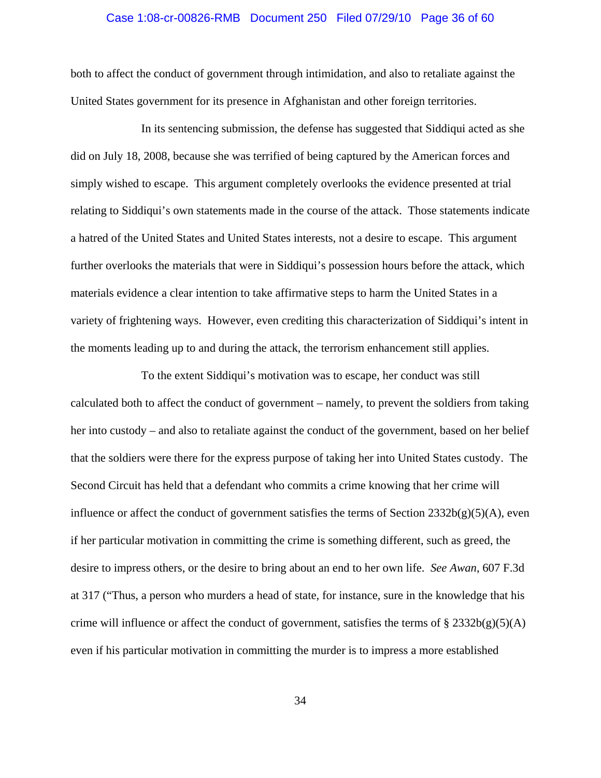#### Case 1:08-cr-00826-RMB Document 250 Filed 07/29/10 Page 36 of 60

both to affect the conduct of government through intimidation, and also to retaliate against the United States government for its presence in Afghanistan and other foreign territories.

In its sentencing submission, the defense has suggested that Siddiqui acted as she did on July 18, 2008, because she was terrified of being captured by the American forces and simply wished to escape. This argument completely overlooks the evidence presented at trial relating to Siddiqui's own statements made in the course of the attack. Those statements indicate a hatred of the United States and United States interests, not a desire to escape. This argument further overlooks the materials that were in Siddiqui's possession hours before the attack, which materials evidence a clear intention to take affirmative steps to harm the United States in a variety of frightening ways. However, even crediting this characterization of Siddiqui's intent in the moments leading up to and during the attack, the terrorism enhancement still applies.

To the extent Siddiqui's motivation was to escape, her conduct was still calculated both to affect the conduct of government – namely, to prevent the soldiers from taking her into custody – and also to retaliate against the conduct of the government, based on her belief that the soldiers were there for the express purpose of taking her into United States custody. The Second Circuit has held that a defendant who commits a crime knowing that her crime will influence or affect the conduct of government satisfies the terms of Section  $2332b(g)(5)(A)$ , even if her particular motivation in committing the crime is something different, such as greed, the desire to impress others, or the desire to bring about an end to her own life. *See Awan*, 607 F.3d at 317 ("Thus, a person who murders a head of state, for instance, sure in the knowledge that his crime will influence or affect the conduct of government, satisfies the terms of  $\S 2332b(g)(5)(A)$ even if his particular motivation in committing the murder is to impress a more established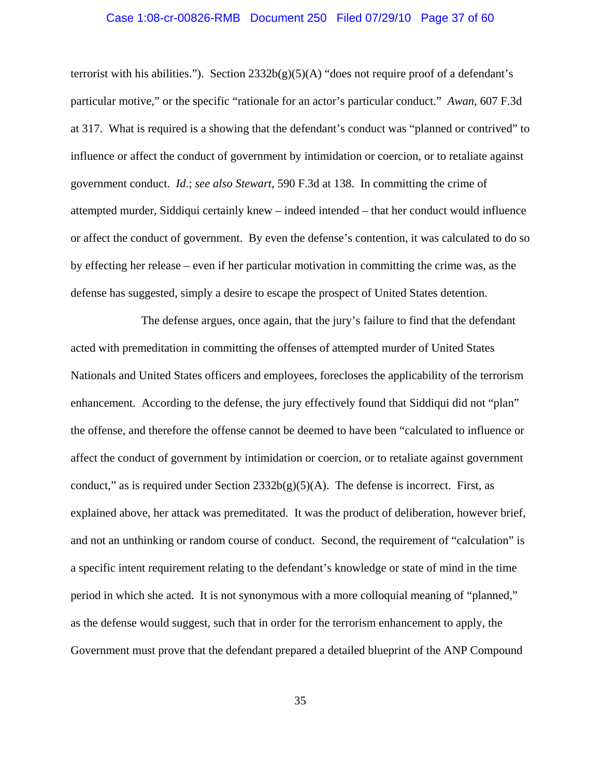#### Case 1:08-cr-00826-RMB Document 250 Filed 07/29/10 Page 37 of 60

terrorist with his abilities."). Section  $2332b(g)(5)(A)$  "does not require proof of a defendant's particular motive," or the specific "rationale for an actor's particular conduct." *Awan*, 607 F.3d at 317. What is required is a showing that the defendant's conduct was "planned or contrived" to influence or affect the conduct of government by intimidation or coercion, or to retaliate against government conduct. *Id*.; *see also Stewart*, 590 F.3d at 138. In committing the crime of attempted murder, Siddiqui certainly knew – indeed intended – that her conduct would influence or affect the conduct of government. By even the defense's contention, it was calculated to do so by effecting her release – even if her particular motivation in committing the crime was, as the defense has suggested, simply a desire to escape the prospect of United States detention.

The defense argues, once again, that the jury's failure to find that the defendant acted with premeditation in committing the offenses of attempted murder of United States Nationals and United States officers and employees, forecloses the applicability of the terrorism enhancement. According to the defense, the jury effectively found that Siddiqui did not "plan" the offense, and therefore the offense cannot be deemed to have been "calculated to influence or affect the conduct of government by intimidation or coercion, or to retaliate against government conduct," as is required under Section  $2332b(g)(5)(A)$ . The defense is incorrect. First, as explained above, her attack was premeditated. It was the product of deliberation, however brief, and not an unthinking or random course of conduct. Second, the requirement of "calculation" is a specific intent requirement relating to the defendant's knowledge or state of mind in the time period in which she acted. It is not synonymous with a more colloquial meaning of "planned," as the defense would suggest, such that in order for the terrorism enhancement to apply, the Government must prove that the defendant prepared a detailed blueprint of the ANP Compound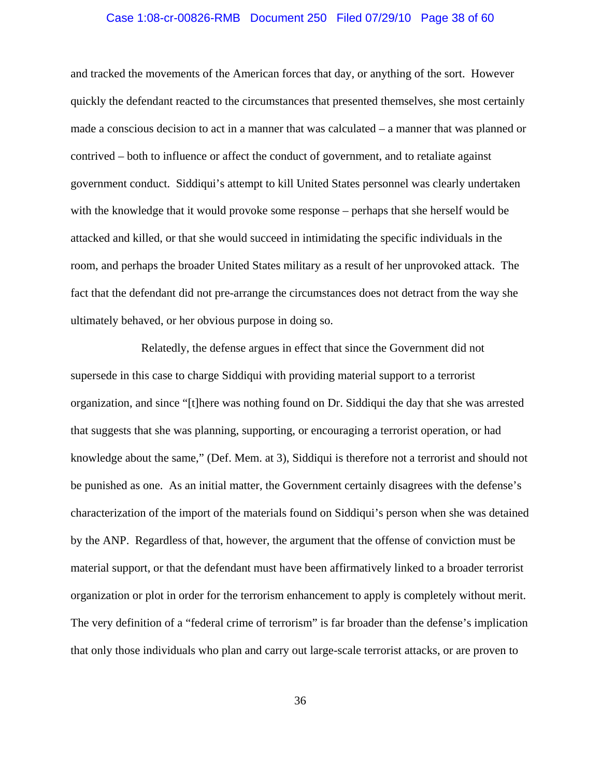#### Case 1:08-cr-00826-RMB Document 250 Filed 07/29/10 Page 38 of 60

and tracked the movements of the American forces that day, or anything of the sort. However quickly the defendant reacted to the circumstances that presented themselves, she most certainly made a conscious decision to act in a manner that was calculated – a manner that was planned or contrived – both to influence or affect the conduct of government, and to retaliate against government conduct. Siddiqui's attempt to kill United States personnel was clearly undertaken with the knowledge that it would provoke some response – perhaps that she herself would be attacked and killed, or that she would succeed in intimidating the specific individuals in the room, and perhaps the broader United States military as a result of her unprovoked attack. The fact that the defendant did not pre-arrange the circumstances does not detract from the way she ultimately behaved, or her obvious purpose in doing so.

Relatedly, the defense argues in effect that since the Government did not supersede in this case to charge Siddiqui with providing material support to a terrorist organization, and since "[t]here was nothing found on Dr. Siddiqui the day that she was arrested that suggests that she was planning, supporting, or encouraging a terrorist operation, or had knowledge about the same," (Def. Mem. at 3), Siddiqui is therefore not a terrorist and should not be punished as one. As an initial matter, the Government certainly disagrees with the defense's characterization of the import of the materials found on Siddiqui's person when she was detained by the ANP. Regardless of that, however, the argument that the offense of conviction must be material support, or that the defendant must have been affirmatively linked to a broader terrorist organization or plot in order for the terrorism enhancement to apply is completely without merit. The very definition of a "federal crime of terrorism" is far broader than the defense's implication that only those individuals who plan and carry out large-scale terrorist attacks, or are proven to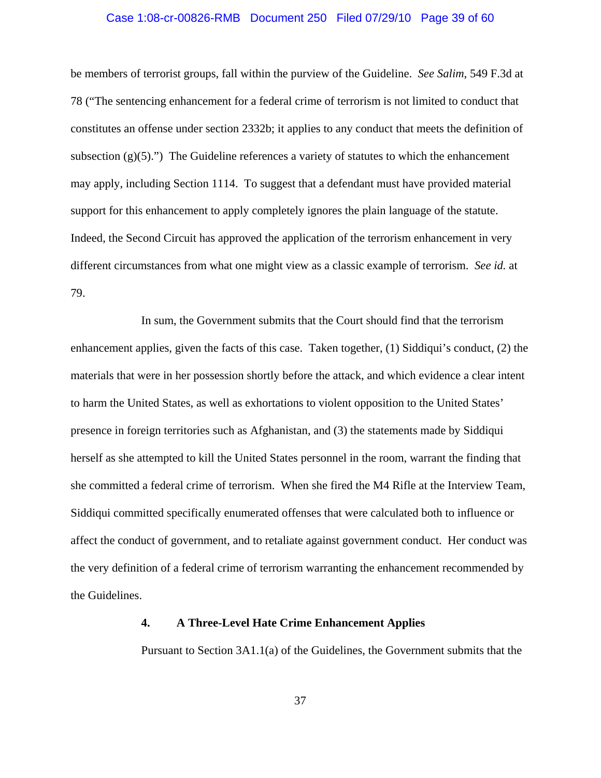#### Case 1:08-cr-00826-RMB Document 250 Filed 07/29/10 Page 39 of 60

be members of terrorist groups, fall within the purview of the Guideline. *See Salim*, 549 F.3d at 78 ("The sentencing enhancement for a federal crime of terrorism is not limited to conduct that constitutes an offense under section 2332b; it applies to any conduct that meets the definition of subsection  $(g)(5)$ .") The Guideline references a variety of statutes to which the enhancement may apply, including Section 1114. To suggest that a defendant must have provided material support for this enhancement to apply completely ignores the plain language of the statute. Indeed, the Second Circuit has approved the application of the terrorism enhancement in very different circumstances from what one might view as a classic example of terrorism. *See id.* at 79.

In sum, the Government submits that the Court should find that the terrorism enhancement applies, given the facts of this case. Taken together, (1) Siddiqui's conduct, (2) the materials that were in her possession shortly before the attack, and which evidence a clear intent to harm the United States, as well as exhortations to violent opposition to the United States' presence in foreign territories such as Afghanistan, and (3) the statements made by Siddiqui herself as she attempted to kill the United States personnel in the room, warrant the finding that she committed a federal crime of terrorism. When she fired the M4 Rifle at the Interview Team, Siddiqui committed specifically enumerated offenses that were calculated both to influence or affect the conduct of government, and to retaliate against government conduct. Her conduct was the very definition of a federal crime of terrorism warranting the enhancement recommended by the Guidelines.

# **4. A Three-Level Hate Crime Enhancement Applies**

Pursuant to Section 3A1.1(a) of the Guidelines, the Government submits that the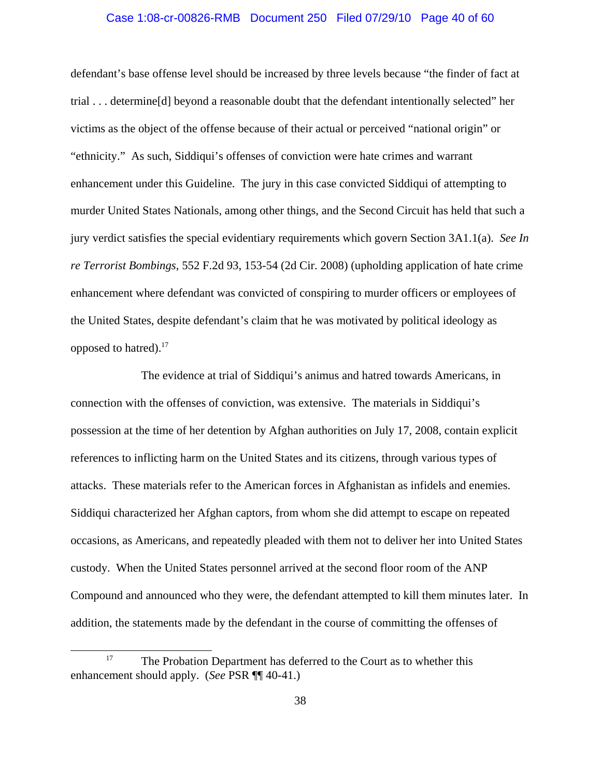### Case 1:08-cr-00826-RMB Document 250 Filed 07/29/10 Page 40 of 60

defendant's base offense level should be increased by three levels because "the finder of fact at trial . . . determine[d] beyond a reasonable doubt that the defendant intentionally selected" her victims as the object of the offense because of their actual or perceived "national origin" or "ethnicity." As such, Siddiqui's offenses of conviction were hate crimes and warrant enhancement under this Guideline. The jury in this case convicted Siddiqui of attempting to murder United States Nationals, among other things, and the Second Circuit has held that such a jury verdict satisfies the special evidentiary requirements which govern Section 3A1.1(a). *See In re Terrorist Bombings*, 552 F.2d 93, 153-54 (2d Cir. 2008) (upholding application of hate crime enhancement where defendant was convicted of conspiring to murder officers or employees of the United States, despite defendant's claim that he was motivated by political ideology as opposed to hatred). $17$ 

The evidence at trial of Siddiqui's animus and hatred towards Americans, in connection with the offenses of conviction, was extensive. The materials in Siddiqui's possession at the time of her detention by Afghan authorities on July 17, 2008, contain explicit references to inflicting harm on the United States and its citizens, through various types of attacks. These materials refer to the American forces in Afghanistan as infidels and enemies. Siddiqui characterized her Afghan captors, from whom she did attempt to escape on repeated occasions, as Americans, and repeatedly pleaded with them not to deliver her into United States custody. When the United States personnel arrived at the second floor room of the ANP Compound and announced who they were, the defendant attempted to kill them minutes later. In addition, the statements made by the defendant in the course of committing the offenses of

<sup>&</sup>lt;sup>17</sup> The Probation Department has deferred to the Court as to whether this enhancement should apply. (*See* PSR ¶¶ 40-41.)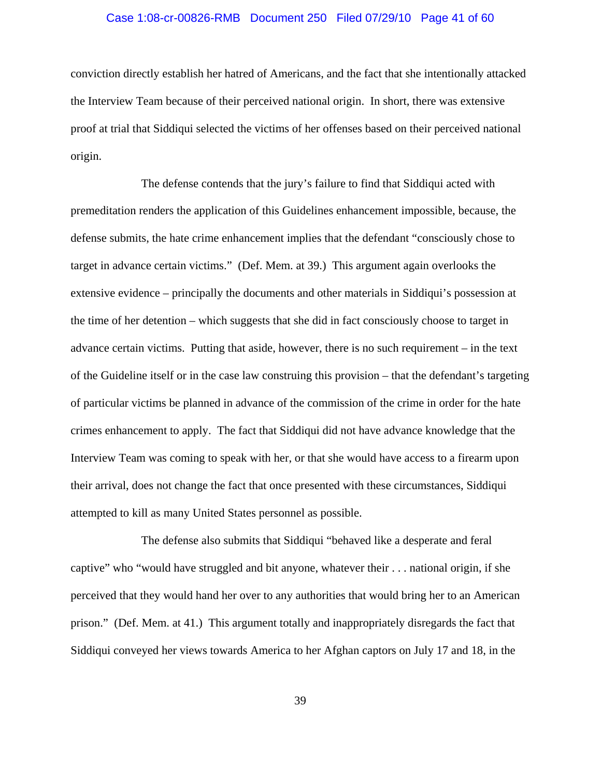### Case 1:08-cr-00826-RMB Document 250 Filed 07/29/10 Page 41 of 60

conviction directly establish her hatred of Americans, and the fact that she intentionally attacked the Interview Team because of their perceived national origin. In short, there was extensive proof at trial that Siddiqui selected the victims of her offenses based on their perceived national origin.

The defense contends that the jury's failure to find that Siddiqui acted with premeditation renders the application of this Guidelines enhancement impossible, because, the defense submits, the hate crime enhancement implies that the defendant "consciously chose to target in advance certain victims." (Def. Mem. at 39.) This argument again overlooks the extensive evidence – principally the documents and other materials in Siddiqui's possession at the time of her detention – which suggests that she did in fact consciously choose to target in advance certain victims. Putting that aside, however, there is no such requirement – in the text of the Guideline itself or in the case law construing this provision – that the defendant's targeting of particular victims be planned in advance of the commission of the crime in order for the hate crimes enhancement to apply. The fact that Siddiqui did not have advance knowledge that the Interview Team was coming to speak with her, or that she would have access to a firearm upon their arrival, does not change the fact that once presented with these circumstances, Siddiqui attempted to kill as many United States personnel as possible.

The defense also submits that Siddiqui "behaved like a desperate and feral captive" who "would have struggled and bit anyone, whatever their . . . national origin, if she perceived that they would hand her over to any authorities that would bring her to an American prison." (Def. Mem. at 41.) This argument totally and inappropriately disregards the fact that Siddiqui conveyed her views towards America to her Afghan captors on July 17 and 18, in the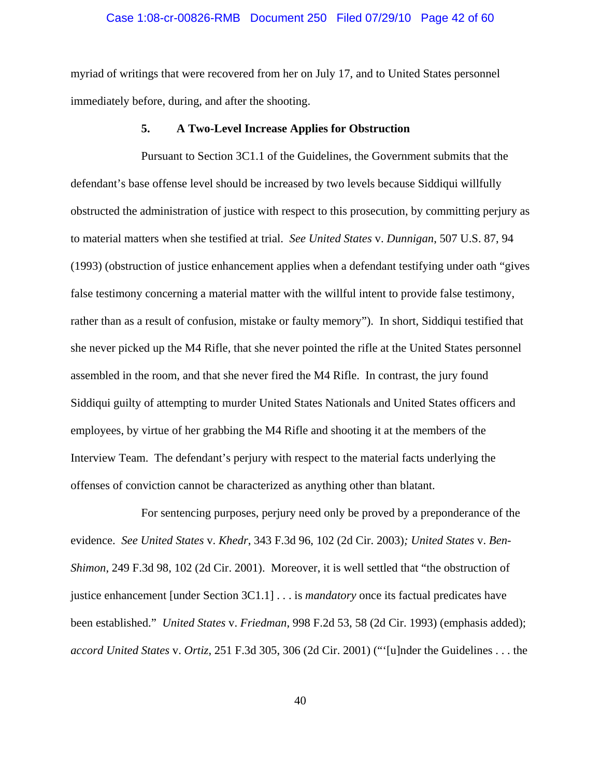myriad of writings that were recovered from her on July 17, and to United States personnel immediately before, during, and after the shooting.

#### **5. A Two-Level Increase Applies for Obstruction**

Pursuant to Section 3C1.1 of the Guidelines, the Government submits that the defendant's base offense level should be increased by two levels because Siddiqui willfully obstructed the administration of justice with respect to this prosecution, by committing perjury as to material matters when she testified at trial. *See United States* v. *Dunnigan*, 507 U.S. 87, 94 (1993) (obstruction of justice enhancement applies when a defendant testifying under oath "gives false testimony concerning a material matter with the willful intent to provide false testimony, rather than as a result of confusion, mistake or faulty memory"). In short, Siddiqui testified that she never picked up the M4 Rifle, that she never pointed the rifle at the United States personnel assembled in the room, and that she never fired the M4 Rifle. In contrast, the jury found Siddiqui guilty of attempting to murder United States Nationals and United States officers and employees, by virtue of her grabbing the M4 Rifle and shooting it at the members of the Interview Team. The defendant's perjury with respect to the material facts underlying the offenses of conviction cannot be characterized as anything other than blatant.

For sentencing purposes, perjury need only be proved by a preponderance of the evidence. *See United States* v. *Khedr*, 343 F.3d 96, 102 (2d Cir. 2003)*; United States* v. *Ben-Shimon*, 249 F.3d 98, 102 (2d Cir. 2001). Moreover, it is well settled that "the obstruction of justice enhancement [under Section 3C1.1] . . . is *mandatory* once its factual predicates have been established." *United States* v. *Friedman*, 998 F.2d 53, 58 (2d Cir. 1993) (emphasis added); *accord United States* v. *Ortiz*, 251 F.3d 305, 306 (2d Cir. 2001) ("'[u]nder the Guidelines . . . the

40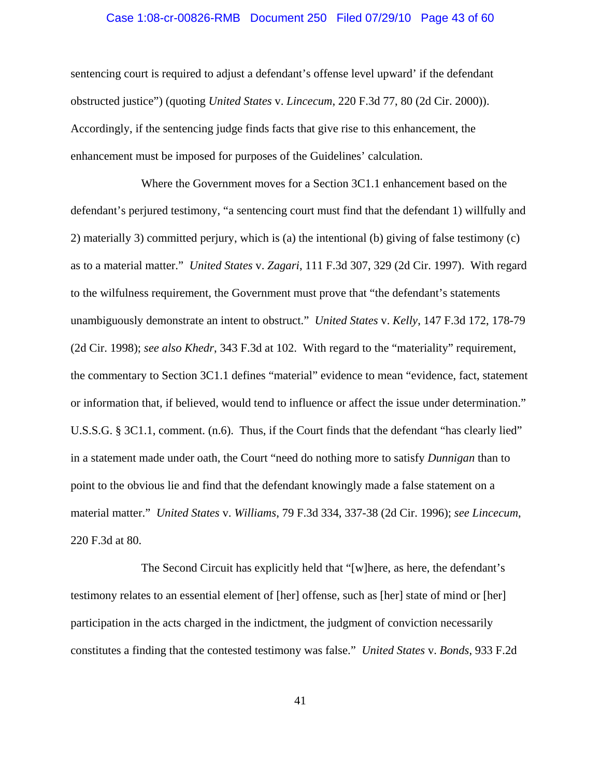#### Case 1:08-cr-00826-RMB Document 250 Filed 07/29/10 Page 43 of 60

sentencing court is required to adjust a defendant's offense level upward' if the defendant obstructed justice") (quoting *United States* v. *Lincecum*, 220 F.3d 77, 80 (2d Cir. 2000)). Accordingly, if the sentencing judge finds facts that give rise to this enhancement, the enhancement must be imposed for purposes of the Guidelines' calculation.

Where the Government moves for a Section 3C1.1 enhancement based on the defendant's perjured testimony, "a sentencing court must find that the defendant 1) willfully and 2) materially 3) committed perjury, which is (a) the intentional (b) giving of false testimony (c) as to a material matter." *United States* v. *Zagari*, 111 F.3d 307, 329 (2d Cir. 1997). With regard to the wilfulness requirement, the Government must prove that "the defendant's statements unambiguously demonstrate an intent to obstruct." *United States* v. *Kelly*, 147 F.3d 172, 178-79 (2d Cir. 1998); *see also Khedr*, 343 F.3d at 102. With regard to the "materiality" requirement, the commentary to Section 3C1.1 defines "material" evidence to mean "evidence, fact, statement or information that, if believed, would tend to influence or affect the issue under determination." U.S.S.G. § 3C1.1, comment. (n.6). Thus, if the Court finds that the defendant "has clearly lied" in a statement made under oath, the Court "need do nothing more to satisfy *Dunnigan* than to point to the obvious lie and find that the defendant knowingly made a false statement on a material matter." *United States* v. *Williams*, 79 F.3d 334, 337-38 (2d Cir. 1996); *see Lincecum*, 220 F.3d at 80.

The Second Circuit has explicitly held that "[w]here, as here, the defendant's testimony relates to an essential element of [her] offense, such as [her] state of mind or [her] participation in the acts charged in the indictment, the judgment of conviction necessarily constitutes a finding that the contested testimony was false." *United States* v. *Bonds*, 933 F.2d

41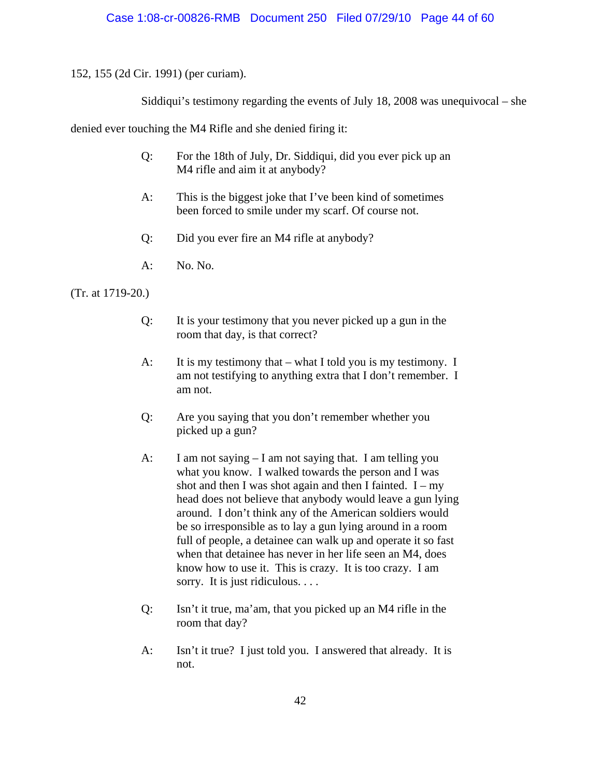152, 155 (2d Cir. 1991) (per curiam).

Siddiqui's testimony regarding the events of July 18, 2008 was unequivocal – she

denied ever touching the M4 Rifle and she denied firing it:

- Q: For the 18th of July, Dr. Siddiqui, did you ever pick up an M4 rifle and aim it at anybody?
- A: This is the biggest joke that I've been kind of sometimes been forced to smile under my scarf. Of course not.
- Q: Did you ever fire an M4 rifle at anybody?
- A: No. No.

(Tr. at 1719-20.)

- Q: It is your testimony that you never picked up a gun in the room that day, is that correct?
- A: It is my testimony that what I told you is my testimony. I am not testifying to anything extra that I don't remember. I am not.
- Q: Are you saying that you don't remember whether you picked up a gun?
- A: I am not saying I am not saying that. I am telling you what you know. I walked towards the person and I was shot and then I was shot again and then I fainted.  $I - my$ head does not believe that anybody would leave a gun lying around. I don't think any of the American soldiers would be so irresponsible as to lay a gun lying around in a room full of people, a detainee can walk up and operate it so fast when that detainee has never in her life seen an M4, does know how to use it. This is crazy. It is too crazy. I am sorry. It is just ridiculous. . . .
- Q: Isn't it true, ma'am, that you picked up an M4 rifle in the room that day?
- A: Isn't it true? I just told you. I answered that already. It is not.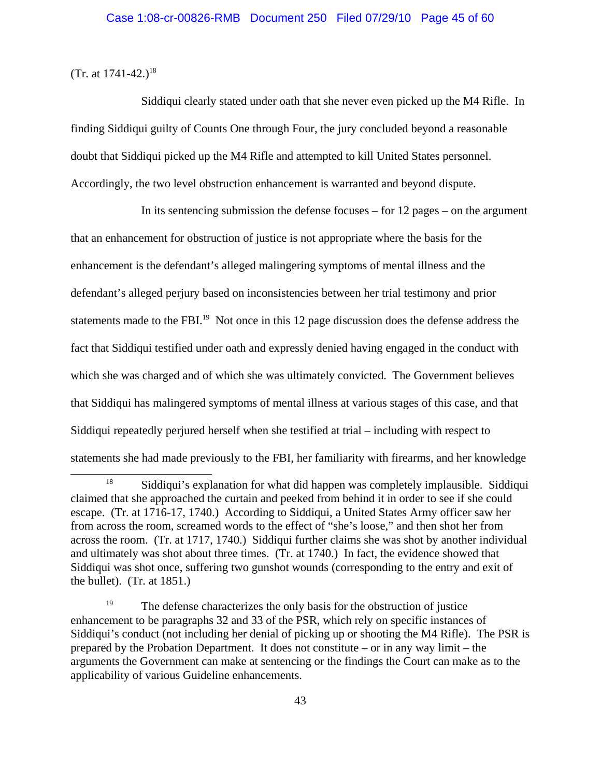(Tr. at  $1741-42$ .)<sup>18</sup>

Siddiqui clearly stated under oath that she never even picked up the M4 Rifle. In finding Siddiqui guilty of Counts One through Four, the jury concluded beyond a reasonable doubt that Siddiqui picked up the M4 Rifle and attempted to kill United States personnel. Accordingly, the two level obstruction enhancement is warranted and beyond dispute.

In its sentencing submission the defense focuses – for 12 pages – on the argument that an enhancement for obstruction of justice is not appropriate where the basis for the enhancement is the defendant's alleged malingering symptoms of mental illness and the defendant's alleged perjury based on inconsistencies between her trial testimony and prior statements made to the FBI.<sup>19</sup> Not once in this 12 page discussion does the defense address the fact that Siddiqui testified under oath and expressly denied having engaged in the conduct with which she was charged and of which she was ultimately convicted. The Government believes that Siddiqui has malingered symptoms of mental illness at various stages of this case, and that Siddiqui repeatedly perjured herself when she testified at trial – including with respect to statements she had made previously to the FBI, her familiarity with firearms, and her knowledge

<sup>&</sup>lt;sup>18</sup> Siddiqui's explanation for what did happen was completely implausible. Siddiqui claimed that she approached the curtain and peeked from behind it in order to see if she could escape. (Tr. at 1716-17, 1740.) According to Siddiqui, a United States Army officer saw her from across the room, screamed words to the effect of "she's loose," and then shot her from across the room. (Tr. at 1717, 1740.) Siddiqui further claims she was shot by another individual and ultimately was shot about three times. (Tr. at 1740.) In fact, the evidence showed that Siddiqui was shot once, suffering two gunshot wounds (corresponding to the entry and exit of the bullet). (Tr. at 1851.)

<sup>&</sup>lt;sup>19</sup> The defense characterizes the only basis for the obstruction of justice enhancement to be paragraphs 32 and 33 of the PSR, which rely on specific instances of Siddiqui's conduct (not including her denial of picking up or shooting the M4 Rifle). The PSR is prepared by the Probation Department. It does not constitute – or in any way limit – the arguments the Government can make at sentencing or the findings the Court can make as to the applicability of various Guideline enhancements.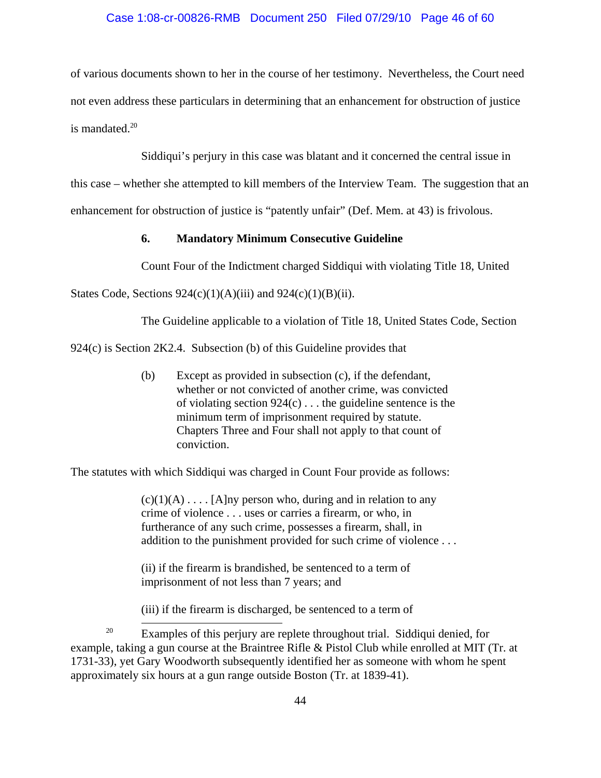# Case 1:08-cr-00826-RMB Document 250 Filed 07/29/10 Page 46 of 60

of various documents shown to her in the course of her testimony. Nevertheless, the Court need not even address these particulars in determining that an enhancement for obstruction of justice is mandated. $20$ 

Siddiqui's perjury in this case was blatant and it concerned the central issue in

this case – whether she attempted to kill members of the Interview Team. The suggestion that an

enhancement for obstruction of justice is "patently unfair" (Def. Mem. at 43) is frivolous.

# **6. Mandatory Minimum Consecutive Guideline**

Count Four of the Indictment charged Siddiqui with violating Title 18, United

States Code, Sections  $924(c)(1)(A)(iii)$  and  $924(c)(1)(B)(ii)$ .

The Guideline applicable to a violation of Title 18, United States Code, Section

924(c) is Section 2K2.4. Subsection (b) of this Guideline provides that

(b) Except as provided in subsection (c), if the defendant, whether or not convicted of another crime, was convicted of violating section  $924(c)$ ... the guideline sentence is the minimum term of imprisonment required by statute. Chapters Three and Four shall not apply to that count of conviction.

The statutes with which Siddiqui was charged in Count Four provide as follows:

 $(c)(1)(A) \ldots$  [A]ny person who, during and in relation to any crime of violence . . . uses or carries a firearm, or who, in furtherance of any such crime, possesses a firearm, shall, in addition to the punishment provided for such crime of violence . . .

(ii) if the firearm is brandished, be sentenced to a term of imprisonment of not less than 7 years; and

(iii) if the firearm is discharged, be sentenced to a term of

<sup>20</sup> Examples of this perjury are replete throughout trial. Siddiqui denied, for example, taking a gun course at the Braintree Rifle & Pistol Club while enrolled at MIT (Tr. at 1731-33), yet Gary Woodworth subsequently identified her as someone with whom he spent approximately six hours at a gun range outside Boston (Tr. at 1839-41).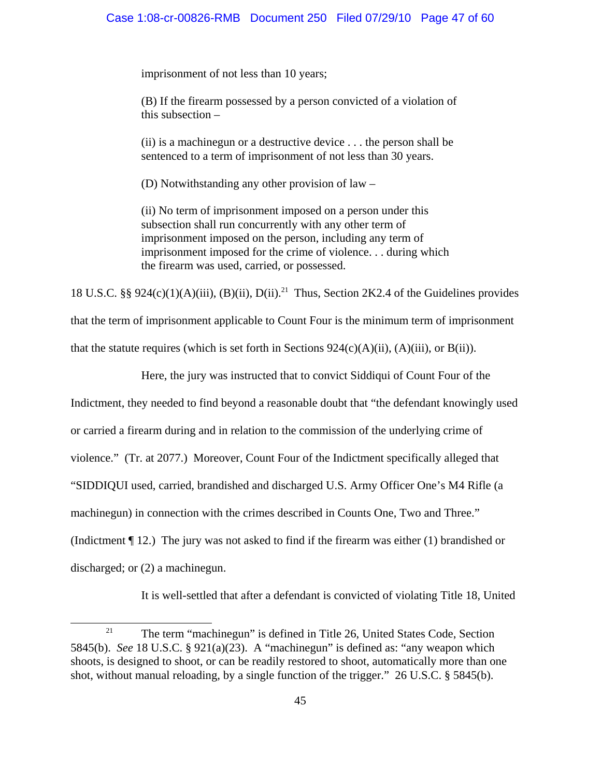imprisonment of not less than 10 years;

(B) If the firearm possessed by a person convicted of a violation of this subsection –

(ii) is a machinegun or a destructive device . . . the person shall be sentenced to a term of imprisonment of not less than 30 years.

(D) Notwithstanding any other provision of law –

(ii) No term of imprisonment imposed on a person under this subsection shall run concurrently with any other term of imprisonment imposed on the person, including any term of imprisonment imposed for the crime of violence. . . during which the firearm was used, carried, or possessed.

18 U.S.C. §§ 924(c)(1)(A)(iii), (B)(ii), D(ii).<sup>21</sup> Thus, Section 2K2.4 of the Guidelines provides that the term of imprisonment applicable to Count Four is the minimum term of imprisonment that the statute requires (which is set forth in Sections  $924(c)(A)(ii)$ ,  $(A)(iii)$ , or  $B(ii)$ ).

Here, the jury was instructed that to convict Siddiqui of Count Four of the

Indictment, they needed to find beyond a reasonable doubt that "the defendant knowingly used or carried a firearm during and in relation to the commission of the underlying crime of violence." (Tr. at 2077.) Moreover, Count Four of the Indictment specifically alleged that "SIDDIQUI used, carried, brandished and discharged U.S. Army Officer One's M4 Rifle (a machinegun) in connection with the crimes described in Counts One, Two and Three." (Indictment ¶ 12.) The jury was not asked to find if the firearm was either (1) brandished or discharged; or (2) a machinegun.

It is well-settled that after a defendant is convicted of violating Title 18, United

<sup>&</sup>lt;sup>21</sup> The term "machinegun" is defined in Title 26, United States Code, Section 5845(b). *See* 18 U.S.C. § 921(a)(23). A "machinegun" is defined as: "any weapon which shoots, is designed to shoot, or can be readily restored to shoot, automatically more than one shot, without manual reloading, by a single function of the trigger." 26 U.S.C. § 5845(b).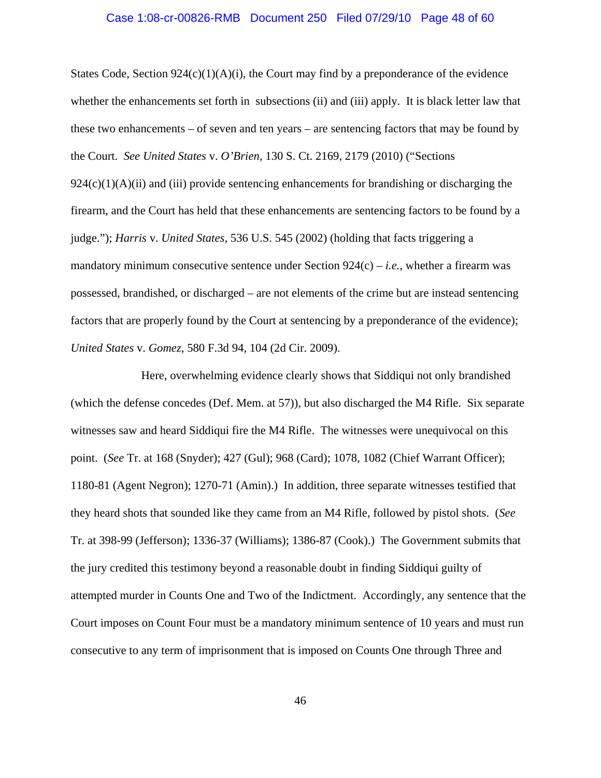#### Case 1:08-cr-00826-RMB Document 250 Filed 07/29/10 Page 48 of 60

States Code, Section  $924(c)(1)(A)(i)$ , the Court may find by a preponderance of the evidence whether the enhancements set forth in subsections (ii) and (iii) apply. It is black letter law that these two enhancements – of seven and ten years – are sentencing factors that may be found by the Court. *See United States* v. *O'Brien*, 130 S. Ct. 2169, 2179 (2010) ("Sections  $924(c)(1)(A)(ii)$  and (iii) provide sentencing enhancements for brandishing or discharging the firearm, and the Court has held that these enhancements are sentencing factors to be found by a judge."); *Harris* v. *United States,* 536 U.S. 545 (2002) (holding that facts triggering a mandatory minimum consecutive sentence under Section  $924(c) - i.e.,$  whether a firearm was possessed, brandished, or discharged – are not elements of the crime but are instead sentencing factors that are properly found by the Court at sentencing by a preponderance of the evidence); *United States* v. *Gomez*, 580 F.3d 94, 104 (2d Cir. 2009).

Here, overwhelming evidence clearly shows that Siddiqui not only brandished (which the defense concedes (Def. Mem. at 57)), but also discharged the M4 Rifle. Six separate witnesses saw and heard Siddiqui fire the M4 Rifle. The witnesses were unequivocal on this point. (*See* Tr. at 168 (Snyder); 427 (Gul); 968 (Card); 1078, 1082 (Chief Warrant Officer); 1180-81 (Agent Negron); 1270-71 (Amin).) In addition, three separate witnesses testified that they heard shots that sounded like they came from an M4 Rifle, followed by pistol shots. (*See* Tr. at 398-99 (Jefferson); 1336-37 (Williams); 1386-87 (Cook).) The Government submits that the jury credited this testimony beyond a reasonable doubt in finding Siddiqui guilty of attempted murder in Counts One and Two of the Indictment. Accordingly, any sentence that the Court imposes on Count Four must be a mandatory minimum sentence of 10 years and must run consecutive to any term of imprisonment that is imposed on Counts One through Three and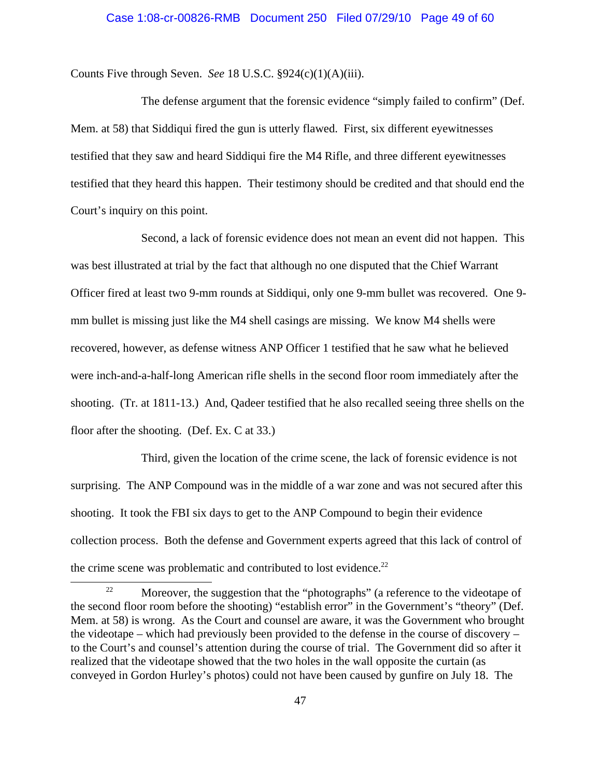Counts Five through Seven. *See* 18 U.S.C. §924(c)(1)(A)(iii).

The defense argument that the forensic evidence "simply failed to confirm" (Def. Mem. at 58) that Siddiqui fired the gun is utterly flawed. First, six different eyewitnesses testified that they saw and heard Siddiqui fire the M4 Rifle, and three different eyewitnesses testified that they heard this happen. Their testimony should be credited and that should end the Court's inquiry on this point.

Second, a lack of forensic evidence does not mean an event did not happen. This was best illustrated at trial by the fact that although no one disputed that the Chief Warrant Officer fired at least two 9-mm rounds at Siddiqui, only one 9-mm bullet was recovered. One 9 mm bullet is missing just like the M4 shell casings are missing. We know M4 shells were recovered, however, as defense witness ANP Officer 1 testified that he saw what he believed were inch-and-a-half-long American rifle shells in the second floor room immediately after the shooting. (Tr. at 1811-13.) And, Qadeer testified that he also recalled seeing three shells on the floor after the shooting. (Def. Ex. C at 33.)

Third, given the location of the crime scene, the lack of forensic evidence is not surprising. The ANP Compound was in the middle of a war zone and was not secured after this shooting. It took the FBI six days to get to the ANP Compound to begin their evidence collection process. Both the defense and Government experts agreed that this lack of control of the crime scene was problematic and contributed to lost evidence.<sup>22</sup>

<sup>&</sup>lt;sup>22</sup> Moreover, the suggestion that the "photographs" (a reference to the videotape of the second floor room before the shooting) "establish error" in the Government's "theory" (Def. Mem. at 58) is wrong. As the Court and counsel are aware, it was the Government who brought the videotape – which had previously been provided to the defense in the course of discovery – to the Court's and counsel's attention during the course of trial. The Government did so after it realized that the videotape showed that the two holes in the wall opposite the curtain (as conveyed in Gordon Hurley's photos) could not have been caused by gunfire on July 18. The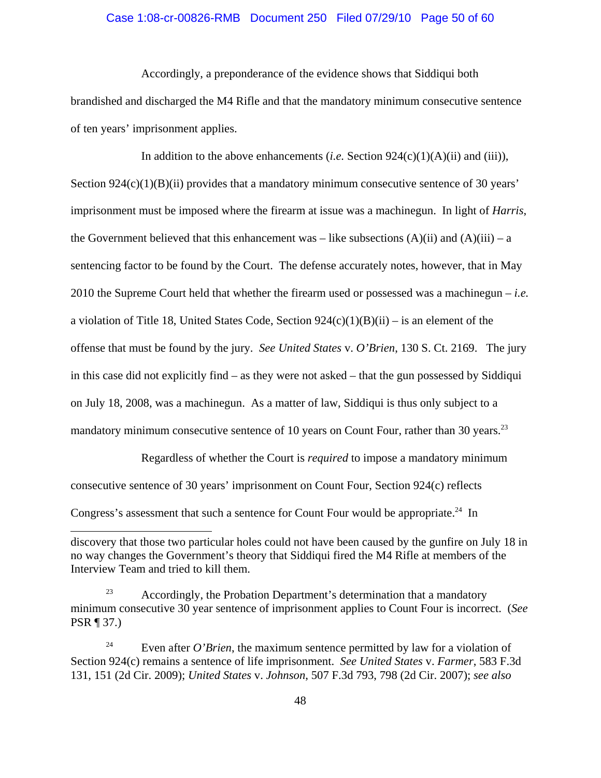# Case 1:08-cr-00826-RMB Document 250 Filed 07/29/10 Page 50 of 60

Accordingly, a preponderance of the evidence shows that Siddiqui both brandished and discharged the M4 Rifle and that the mandatory minimum consecutive sentence of ten years' imprisonment applies.

In addition to the above enhancements (*i.e.* Section 924(c)(1)(A)(ii) and (iii)), Section 924(c)(1)(B)(ii) provides that a mandatory minimum consecutive sentence of 30 years' imprisonment must be imposed where the firearm at issue was a machinegun. In light of *Harris*, the Government believed that this enhancement was – like subsections  $(A)(ii)$  and  $(A)(iii)$  – a sentencing factor to be found by the Court. The defense accurately notes, however, that in May 2010 the Supreme Court held that whether the firearm used or possessed was a machinegun – *i.e.* a violation of Title 18, United States Code, Section  $924(c)(1)(B)(ii) - is$  an element of the offense that must be found by the jury. *See United States* v. *O'Brien*, 130 S. Ct. 2169. The jury in this case did not explicitly find – as they were not asked – that the gun possessed by Siddiqui on July 18, 2008, was a machinegun. As a matter of law, Siddiqui is thus only subject to a mandatory minimum consecutive sentence of 10 years on Count Four, rather than 30 years.<sup>23</sup>

Regardless of whether the Court is *required* to impose a mandatory minimum consecutive sentence of 30 years' imprisonment on Count Four, Section 924(c) reflects Congress's assessment that such a sentence for Count Four would be appropriate.<sup>24</sup> In

 $23$  Accordingly, the Probation Department's determination that a mandatory minimum consecutive 30 year sentence of imprisonment applies to Count Four is incorrect. (*See* PSR ¶ 37.)

<sup>24</sup> Even after *O'Brien*, the maximum sentence permitted by law for a violation of Section 924(c) remains a sentence of life imprisonment. *See United States* v. *Farmer*, 583 F.3d 131, 151 (2d Cir. 2009); *United States* v. *Johnson*, 507 F.3d 793, 798 (2d Cir. 2007); *see also*

discovery that those two particular holes could not have been caused by the gunfire on July 18 in no way changes the Government's theory that Siddiqui fired the M4 Rifle at members of the Interview Team and tried to kill them.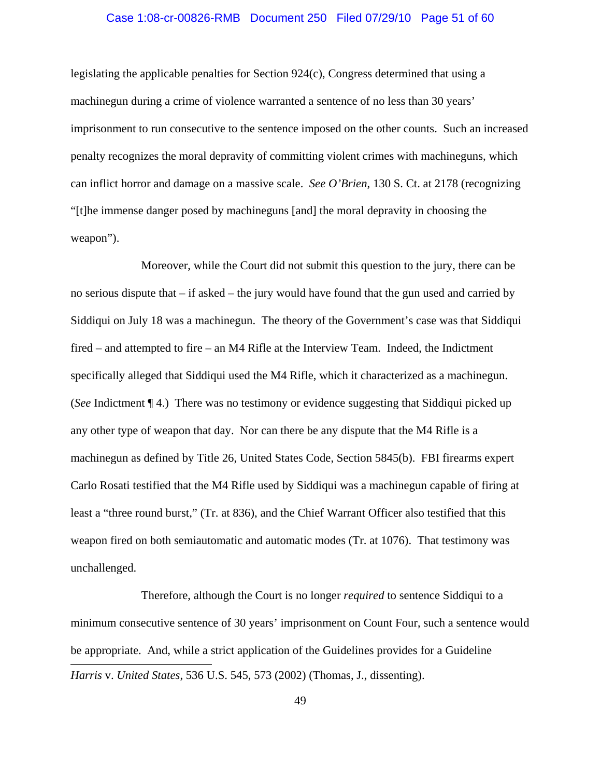## Case 1:08-cr-00826-RMB Document 250 Filed 07/29/10 Page 51 of 60

legislating the applicable penalties for Section 924(c), Congress determined that using a machinegun during a crime of violence warranted a sentence of no less than 30 years' imprisonment to run consecutive to the sentence imposed on the other counts. Such an increased penalty recognizes the moral depravity of committing violent crimes with machineguns, which can inflict horror and damage on a massive scale. *See O'Brien*, 130 S. Ct. at 2178 (recognizing "[t]he immense danger posed by machineguns [and] the moral depravity in choosing the weapon").

Moreover, while the Court did not submit this question to the jury, there can be no serious dispute that – if asked – the jury would have found that the gun used and carried by Siddiqui on July 18 was a machinegun. The theory of the Government's case was that Siddiqui fired – and attempted to fire – an M4 Rifle at the Interview Team. Indeed, the Indictment specifically alleged that Siddiqui used the M4 Rifle, which it characterized as a machinegun. (*See* Indictment ¶ 4.) There was no testimony or evidence suggesting that Siddiqui picked up any other type of weapon that day. Nor can there be any dispute that the M4 Rifle is a machinegun as defined by Title 26, United States Code, Section 5845(b). FBI firearms expert Carlo Rosati testified that the M4 Rifle used by Siddiqui was a machinegun capable of firing at least a "three round burst," (Tr. at 836), and the Chief Warrant Officer also testified that this weapon fired on both semiautomatic and automatic modes (Tr. at 1076). That testimony was unchallenged.

*Harris* v. *United States*, 536 U.S. 545, 573 (2002) (Thomas, J., dissenting). Therefore, although the Court is no longer *required* to sentence Siddiqui to a minimum consecutive sentence of 30 years' imprisonment on Count Four, such a sentence would be appropriate. And, while a strict application of the Guidelines provides for a Guideline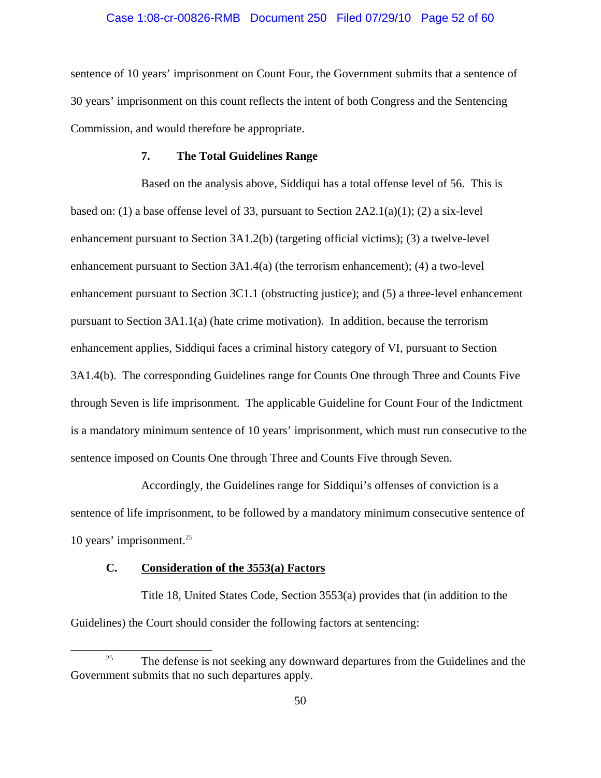#### Case 1:08-cr-00826-RMB Document 250 Filed 07/29/10 Page 52 of 60

sentence of 10 years' imprisonment on Count Four, the Government submits that a sentence of 30 years' imprisonment on this count reflects the intent of both Congress and the Sentencing Commission, and would therefore be appropriate.

# **7. The Total Guidelines Range**

Based on the analysis above, Siddiqui has a total offense level of 56. This is based on: (1) a base offense level of 33, pursuant to Section 2A2.1(a)(1); (2) a six-level enhancement pursuant to Section 3A1.2(b) (targeting official victims); (3) a twelve-level enhancement pursuant to Section 3A1.4(a) (the terrorism enhancement); (4) a two-level enhancement pursuant to Section 3C1.1 (obstructing justice); and (5) a three-level enhancement pursuant to Section 3A1.1(a) (hate crime motivation). In addition, because the terrorism enhancement applies, Siddiqui faces a criminal history category of VI, pursuant to Section 3A1.4(b). The corresponding Guidelines range for Counts One through Three and Counts Five through Seven is life imprisonment. The applicable Guideline for Count Four of the Indictment is a mandatory minimum sentence of 10 years' imprisonment, which must run consecutive to the sentence imposed on Counts One through Three and Counts Five through Seven.

Accordingly, the Guidelines range for Siddiqui's offenses of conviction is a sentence of life imprisonment, to be followed by a mandatory minimum consecutive sentence of 10 years' imprisonment. $25$ 

#### **C. Consideration of the 3553(a) Factors**

Title 18, United States Code, Section 3553(a) provides that (in addition to the Guidelines) the Court should consider the following factors at sentencing:

<sup>&</sup>lt;sup>25</sup> The defense is not seeking any downward departures from the Guidelines and the Government submits that no such departures apply.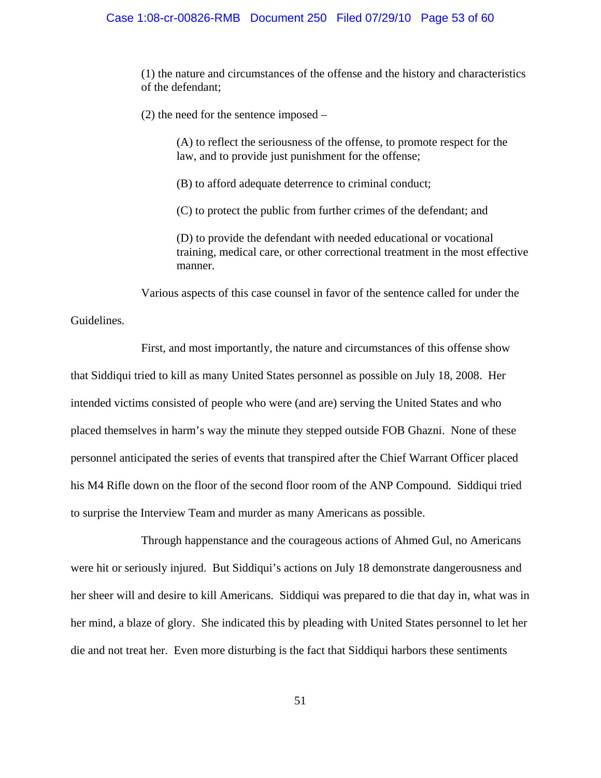(1) the nature and circumstances of the offense and the history and characteristics of the defendant;

(2) the need for the sentence imposed –

(A) to reflect the seriousness of the offense, to promote respect for the law, and to provide just punishment for the offense;

(B) to afford adequate deterrence to criminal conduct;

(C) to protect the public from further crimes of the defendant; and

(D) to provide the defendant with needed educational or vocational training, medical care, or other correctional treatment in the most effective manner.

Various aspects of this case counsel in favor of the sentence called for under the

Guidelines.

First, and most importantly, the nature and circumstances of this offense show that Siddiqui tried to kill as many United States personnel as possible on July 18, 2008. Her intended victims consisted of people who were (and are) serving the United States and who placed themselves in harm's way the minute they stepped outside FOB Ghazni. None of these personnel anticipated the series of events that transpired after the Chief Warrant Officer placed his M4 Rifle down on the floor of the second floor room of the ANP Compound. Siddiqui tried to surprise the Interview Team and murder as many Americans as possible.

Through happenstance and the courageous actions of Ahmed Gul, no Americans were hit or seriously injured. But Siddiqui's actions on July 18 demonstrate dangerousness and her sheer will and desire to kill Americans. Siddiqui was prepared to die that day in, what was in her mind, a blaze of glory. She indicated this by pleading with United States personnel to let her die and not treat her. Even more disturbing is the fact that Siddiqui harbors these sentiments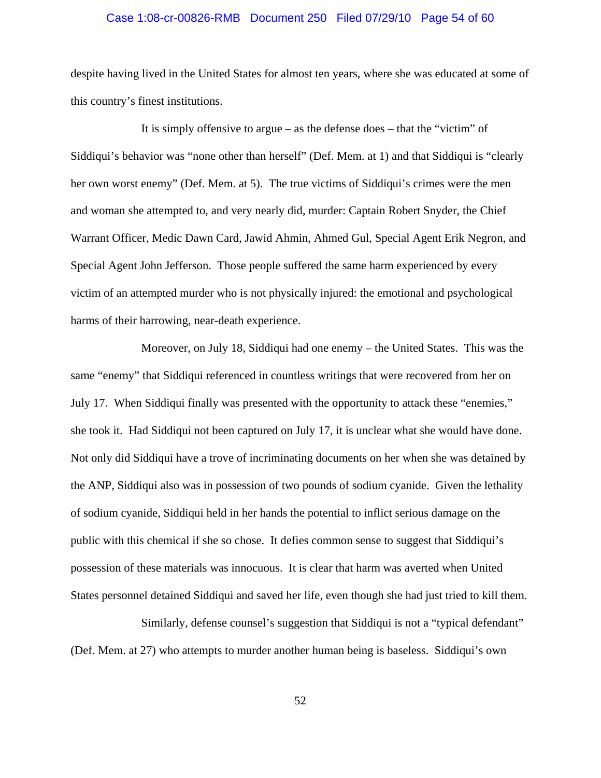### Case 1:08-cr-00826-RMB Document 250 Filed 07/29/10 Page 54 of 60

despite having lived in the United States for almost ten years, where she was educated at some of this country's finest institutions.

It is simply offensive to argue – as the defense does – that the "victim" of Siddiqui's behavior was "none other than herself" (Def. Mem. at 1) and that Siddiqui is "clearly her own worst enemy" (Def. Mem. at 5). The true victims of Siddiqui's crimes were the men and woman she attempted to, and very nearly did, murder: Captain Robert Snyder, the Chief Warrant Officer, Medic Dawn Card, Jawid Ahmin, Ahmed Gul, Special Agent Erik Negron, and Special Agent John Jefferson. Those people suffered the same harm experienced by every victim of an attempted murder who is not physically injured: the emotional and psychological harms of their harrowing, near-death experience.

Moreover, on July 18, Siddiqui had one enemy – the United States. This was the same "enemy" that Siddiqui referenced in countless writings that were recovered from her on July 17. When Siddiqui finally was presented with the opportunity to attack these "enemies," she took it. Had Siddiqui not been captured on July 17, it is unclear what she would have done. Not only did Siddiqui have a trove of incriminating documents on her when she was detained by the ANP, Siddiqui also was in possession of two pounds of sodium cyanide. Given the lethality of sodium cyanide, Siddiqui held in her hands the potential to inflict serious damage on the public with this chemical if she so chose. It defies common sense to suggest that Siddiqui's possession of these materials was innocuous. It is clear that harm was averted when United States personnel detained Siddiqui and saved her life, even though she had just tried to kill them.

Similarly, defense counsel's suggestion that Siddiqui is not a "typical defendant" (Def. Mem. at 27) who attempts to murder another human being is baseless. Siddiqui's own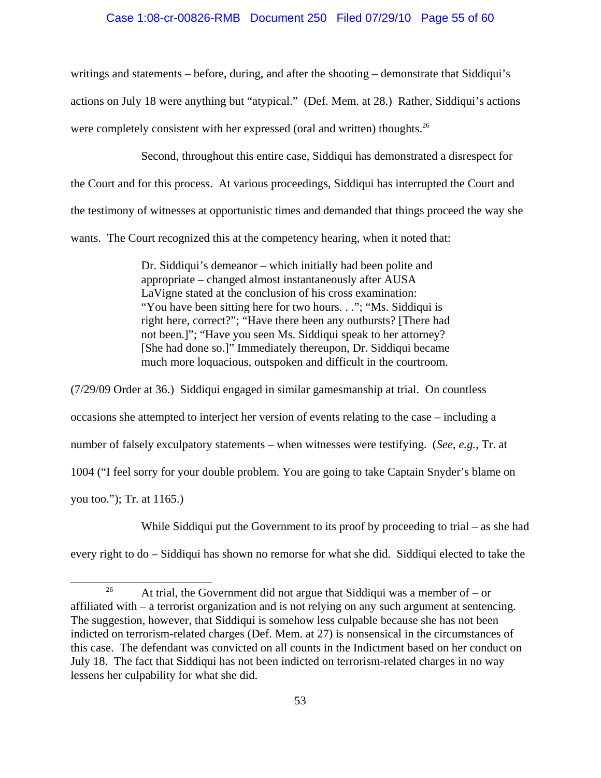#### Case 1:08-cr-00826-RMB Document 250 Filed 07/29/10 Page 55 of 60

writings and statements – before, during, and after the shooting – demonstrate that Siddiqui's actions on July 18 were anything but "atypical." (Def. Mem. at 28.) Rather, Siddiqui's actions were completely consistent with her expressed (oral and written) thoughts.<sup>26</sup>

 Second, throughout this entire case, Siddiqui has demonstrated a disrespect for the Court and for this process. At various proceedings, Siddiqui has interrupted the Court and the testimony of witnesses at opportunistic times and demanded that things proceed the way she wants. The Court recognized this at the competency hearing, when it noted that:

> Dr. Siddiqui's demeanor – which initially had been polite and appropriate – changed almost instantaneously after AUSA LaVigne stated at the conclusion of his cross examination: "You have been sitting here for two hours. . ."; "Ms. Siddiqui is right here, correct?"; "Have there been any outbursts? [There had not been.]"; "Have you seen Ms. Siddiqui speak to her attorney? [She had done so.]" Immediately thereupon, Dr. Siddiqui became much more loquacious, outspoken and difficult in the courtroom.

(7/29/09 Order at 36.) Siddiqui engaged in similar gamesmanship at trial. On countless occasions she attempted to interject her version of events relating to the case – including a number of falsely exculpatory statements – when witnesses were testifying. (*See*, *e.g.*, Tr. at 1004 ("I feel sorry for your double problem. You are going to take Captain Snyder's blame on you too."); Tr. at 1165.)

While Siddiqui put the Government to its proof by proceeding to trial – as she had every right to do – Siddiqui has shown no remorse for what she did. Siddiqui elected to take the

<sup>&</sup>lt;sup>26</sup> At trial, the Government did not argue that Siddiqui was a member of – or affiliated with – a terrorist organization and is not relying on any such argument at sentencing. The suggestion, however, that Siddiqui is somehow less culpable because she has not been indicted on terrorism-related charges (Def. Mem. at 27) is nonsensical in the circumstances of this case. The defendant was convicted on all counts in the Indictment based on her conduct on July 18. The fact that Siddiqui has not been indicted on terrorism-related charges in no way lessens her culpability for what she did.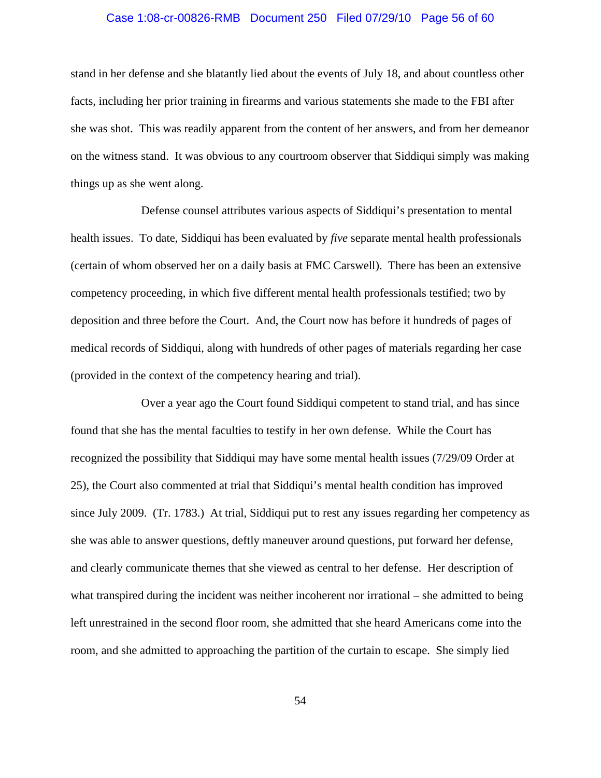### Case 1:08-cr-00826-RMB Document 250 Filed 07/29/10 Page 56 of 60

stand in her defense and she blatantly lied about the events of July 18, and about countless other facts, including her prior training in firearms and various statements she made to the FBI after she was shot. This was readily apparent from the content of her answers, and from her demeanor on the witness stand. It was obvious to any courtroom observer that Siddiqui simply was making things up as she went along.

Defense counsel attributes various aspects of Siddiqui's presentation to mental health issues. To date, Siddiqui has been evaluated by *five* separate mental health professionals (certain of whom observed her on a daily basis at FMC Carswell). There has been an extensive competency proceeding, in which five different mental health professionals testified; two by deposition and three before the Court. And, the Court now has before it hundreds of pages of medical records of Siddiqui, along with hundreds of other pages of materials regarding her case (provided in the context of the competency hearing and trial).

Over a year ago the Court found Siddiqui competent to stand trial, and has since found that she has the mental faculties to testify in her own defense. While the Court has recognized the possibility that Siddiqui may have some mental health issues (7/29/09 Order at 25), the Court also commented at trial that Siddiqui's mental health condition has improved since July 2009. (Tr. 1783.) At trial, Siddiqui put to rest any issues regarding her competency as she was able to answer questions, deftly maneuver around questions, put forward her defense, and clearly communicate themes that she viewed as central to her defense. Her description of what transpired during the incident was neither incoherent nor irrational – she admitted to being left unrestrained in the second floor room, she admitted that she heard Americans come into the room, and she admitted to approaching the partition of the curtain to escape. She simply lied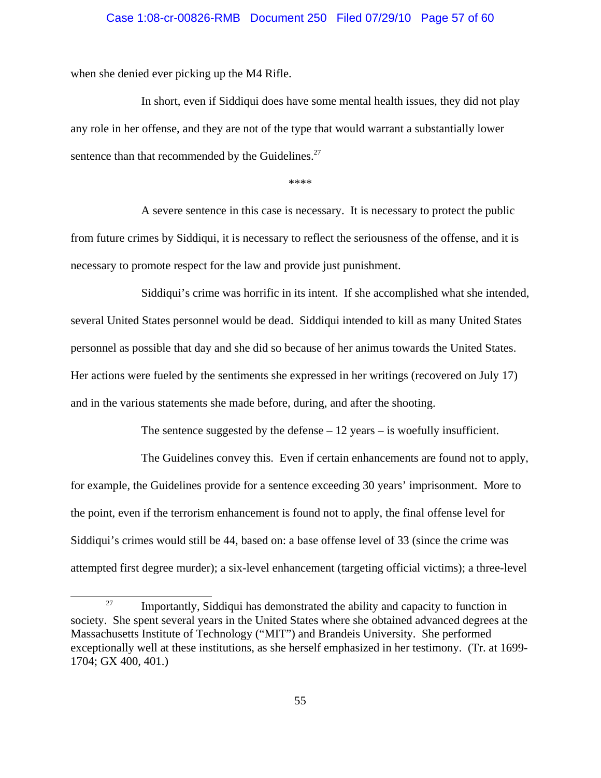## Case 1:08-cr-00826-RMB Document 250 Filed 07/29/10 Page 57 of 60

when she denied ever picking up the M4 Rifle.

In short, even if Siddiqui does have some mental health issues, they did not play any role in her offense, and they are not of the type that would warrant a substantially lower sentence than that recommended by the Guidelines.<sup>27</sup>

\*\*\*\*

A severe sentence in this case is necessary. It is necessary to protect the public from future crimes by Siddiqui, it is necessary to reflect the seriousness of the offense, and it is necessary to promote respect for the law and provide just punishment.

Siddiqui's crime was horrific in its intent. If she accomplished what she intended, several United States personnel would be dead. Siddiqui intended to kill as many United States personnel as possible that day and she did so because of her animus towards the United States. Her actions were fueled by the sentiments she expressed in her writings (recovered on July 17) and in the various statements she made before, during, and after the shooting.

The sentence suggested by the defense – 12 years – is woefully insufficient.

The Guidelines convey this. Even if certain enhancements are found not to apply, for example, the Guidelines provide for a sentence exceeding 30 years' imprisonment. More to the point, even if the terrorism enhancement is found not to apply, the final offense level for Siddiqui's crimes would still be 44, based on: a base offense level of 33 (since the crime was attempted first degree murder); a six-level enhancement (targeting official victims); a three-level

<sup>&</sup>lt;sup>27</sup> Importantly, Siddiqui has demonstrated the ability and capacity to function in society. She spent several years in the United States where she obtained advanced degrees at the Massachusetts Institute of Technology ("MIT") and Brandeis University. She performed exceptionally well at these institutions, as she herself emphasized in her testimony. (Tr. at 1699- 1704; GX 400, 401.)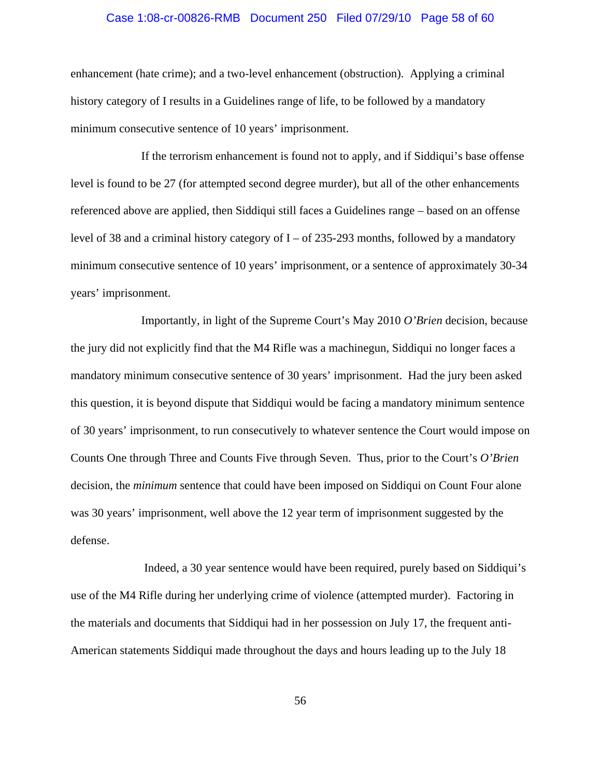### Case 1:08-cr-00826-RMB Document 250 Filed 07/29/10 Page 58 of 60

enhancement (hate crime); and a two-level enhancement (obstruction). Applying a criminal history category of I results in a Guidelines range of life, to be followed by a mandatory minimum consecutive sentence of 10 years' imprisonment.

If the terrorism enhancement is found not to apply, and if Siddiqui's base offense level is found to be 27 (for attempted second degree murder), but all of the other enhancements referenced above are applied, then Siddiqui still faces a Guidelines range – based on an offense level of 38 and a criminal history category of  $I - of 235-293$  months, followed by a mandatory minimum consecutive sentence of 10 years' imprisonment, or a sentence of approximately 30-34 years' imprisonment.

Importantly, in light of the Supreme Court's May 2010 *O'Brien* decision, because the jury did not explicitly find that the M4 Rifle was a machinegun, Siddiqui no longer faces a mandatory minimum consecutive sentence of 30 years' imprisonment. Had the jury been asked this question, it is beyond dispute that Siddiqui would be facing a mandatory minimum sentence of 30 years' imprisonment, to run consecutively to whatever sentence the Court would impose on Counts One through Three and Counts Five through Seven. Thus, prior to the Court's *O'Brien* decision, the *minimum* sentence that could have been imposed on Siddiqui on Count Four alone was 30 years' imprisonment, well above the 12 year term of imprisonment suggested by the defense.

 Indeed, a 30 year sentence would have been required, purely based on Siddiqui's use of the M4 Rifle during her underlying crime of violence (attempted murder). Factoring in the materials and documents that Siddiqui had in her possession on July 17, the frequent anti-American statements Siddiqui made throughout the days and hours leading up to the July 18

56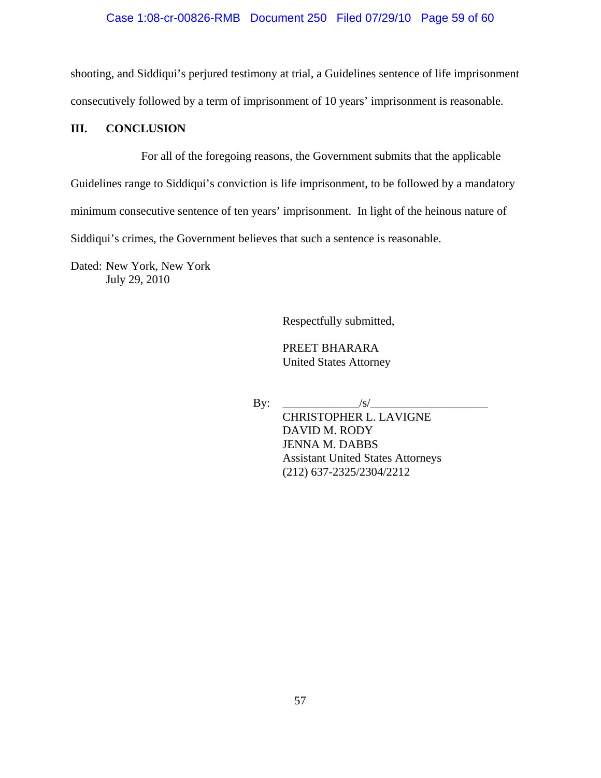# Case 1:08-cr-00826-RMB Document 250 Filed 07/29/10 Page 59 of 60

shooting, and Siddiqui's perjured testimony at trial, a Guidelines sentence of life imprisonment consecutively followed by a term of imprisonment of 10 years' imprisonment is reasonable.

# **III. CONCLUSION**

For all of the foregoing reasons, the Government submits that the applicable Guidelines range to Siddiqui's conviction is life imprisonment, to be followed by a mandatory minimum consecutive sentence of ten years' imprisonment. In light of the heinous nature of Siddiqui's crimes, the Government believes that such a sentence is reasonable.

Dated: New York, New York July 29, 2010

Respectfully submitted,

PREET BHARARA United States Attorney

By: \_\_\_\_\_\_\_\_\_\_\_\_\_/s/\_\_\_\_\_\_\_\_\_\_\_\_\_\_\_\_\_\_\_\_

CHRISTOPHER L. LAVIGNE DAVID M. RODY JENNA M. DABBS Assistant United States Attorneys (212) 637-2325/2304/2212